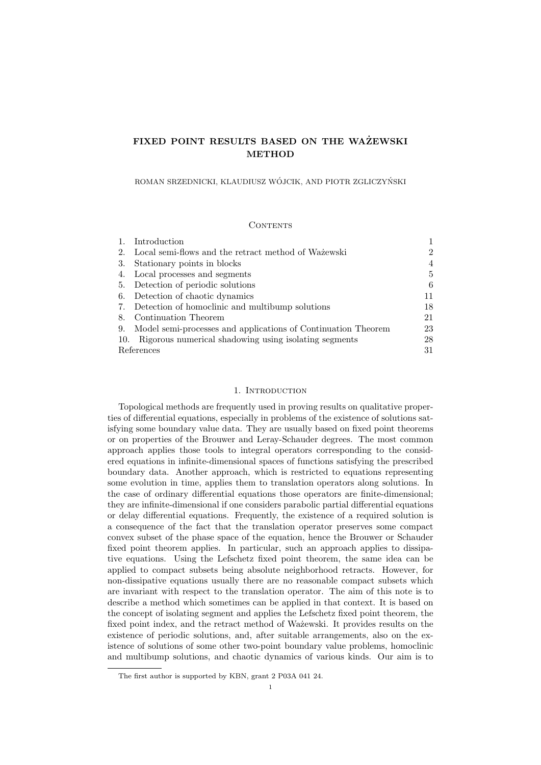# FIXED POINT RESULTS BASED ON THE WAŻEWSKI METHOD

ROMAN SRZEDNICKI, KLAUDIUSZ WÓJCIK, AND PIOTR ZGLICZYŃSKI

## **CONTENTS**

|            | Introduction                                                  |                |
|------------|---------------------------------------------------------------|----------------|
| 2.         | Local semi-flows and the retract method of Wazewski           | $\overline{2}$ |
| 3.         | Stationary points in blocks                                   | 4              |
| 4.         | Local processes and segments                                  | 5              |
| 5.         | Detection of periodic solutions                               | 6              |
| 6.         | Detection of chaotic dynamics                                 | 11             |
| 7.         | Detection of homoclinic and multibump solutions               | 18             |
| 8.         | Continuation Theorem                                          | 21             |
| 9.         | Model semi-processes and applications of Continuation Theorem | 23             |
| 10.        | Rigorous numerical shadowing using isolating segments         | 28             |
| References |                                                               | 31             |

## 1. Introduction

Topological methods are frequently used in proving results on qualitative properties of differential equations, especially in problems of the existence of solutions satisfying some boundary value data. They are usually based on fixed point theorems or on properties of the Brouwer and Leray-Schauder degrees. The most common approach applies those tools to integral operators corresponding to the considered equations in infinite-dimensional spaces of functions satisfying the prescribed boundary data. Another approach, which is restricted to equations representing some evolution in time, applies them to translation operators along solutions. In the case of ordinary differential equations those operators are finite-dimensional; they are infinite-dimensional if one considers parabolic partial differential equations or delay differential equations. Frequently, the existence of a required solution is a consequence of the fact that the translation operator preserves some compact convex subset of the phase space of the equation, hence the Brouwer or Schauder fixed point theorem applies. In particular, such an approach applies to dissipative equations. Using the Lefschetz fixed point theorem, the same idea can be applied to compact subsets being absolute neighborhood retracts. However, for non-dissipative equations usually there are no reasonable compact subsets which are invariant with respect to the translation operator. The aim of this note is to describe a method which sometimes can be applied in that context. It is based on the concept of isolating segment and applies the Lefschetz fixed point theorem, the fixed point index, and the retract method of Wa $\check{z}$ ewski. It provides results on the existence of periodic solutions, and, after suitable arrangements, also on the existence of solutions of some other two-point boundary value problems, homoclinic and multibump solutions, and chaotic dynamics of various kinds. Our aim is to

The first author is supported by KBN, grant 2 P03A 041 24.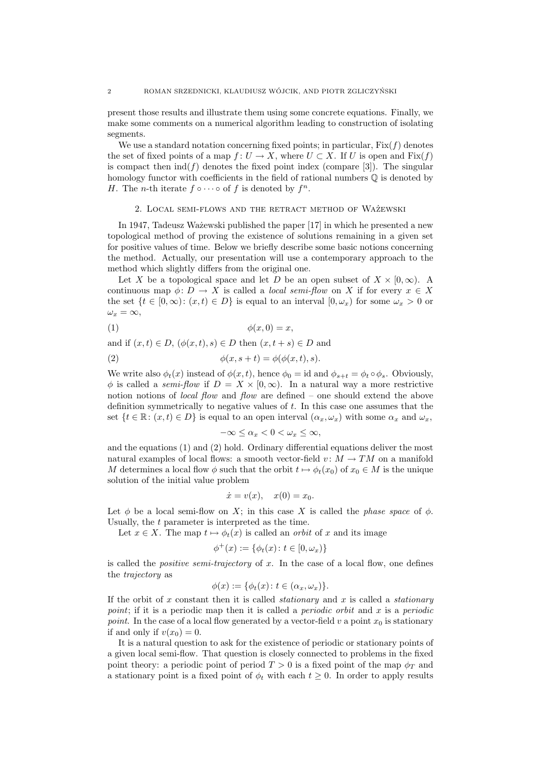present those results and illustrate them using some concrete equations. Finally, we make some comments on a numerical algorithm leading to construction of isolating segments.

We use a standard notation concerning fixed points; in particular,  $Fix(f)$  denotes the set of fixed points of a map  $f: U \to X$ , where  $U \subset X$ . If U is open and Fix $(f)$ is compact then  $ind(f)$  denotes the fixed point index (compare [3]). The singular homology functor with coefficients in the field of rational numbers  $\mathbb Q$  is denoted by H. The *n*-th iterate  $f \circ \cdots \circ \text{ of } f$  is denoted by  $f^n$ .

## 2. LOCAL SEMI-FLOWS AND THE RETRACT METHOD OF WAŻEWSKI

In 1947, Tadeusz Ważewski published the paper [17] in which he presented a new topological method of proving the existence of solutions remaining in a given set for positive values of time. Below we briefly describe some basic notions concerning the method. Actually, our presentation will use a contemporary approach to the method which slightly differs from the original one.

Let X be a topological space and let D be an open subset of  $X \times [0,\infty)$ . A continuous map  $\phi: D \to X$  is called a *local semi-flow* on X if for every  $x \in X$ the set  $\{t \in [0,\infty): (x,t) \in D\}$  is equal to an interval  $[0,\omega_x)$  for some  $\omega_x > 0$  or  $\omega_x = \infty,$ 

$$
(1) \qquad \qquad \phi(x,0) = x,
$$

and if  $(x, t) \in D$ ,  $(\phi(x, t), s) \in D$  then  $(x, t + s) \in D$  and

(2) 
$$
\phi(x, s+t) = \phi(\phi(x,t), s).
$$

We write also  $\phi_t(x)$  instead of  $\phi(x, t)$ , hence  $\phi_0 = id$  and  $\phi_{s+t} = \phi_t \circ \phi_s$ . Obviously,  $\phi$  is called a *semi-flow* if  $D = X \times [0, \infty)$ . In a natural way a more restrictive notion notions of *local flow* and *flow* are defined – one should extend the above definition symmetrically to negative values of t. In this case one assumes that the set  $\{t \in \mathbb{R} : (x, t) \in D\}$  is equal to an open interval  $(\alpha_x, \omega_x)$  with some  $\alpha_x$  and  $\omega_x$ ,

$$
-\infty \le \alpha_x < 0 < \omega_x \le \infty,
$$

and the equations (1) and (2) hold. Ordinary differential equations deliver the most natural examples of local flows: a smooth vector-field  $v: M \to TM$  on a manifold M determines a local flow  $\phi$  such that the orbit  $t \mapsto \phi_t(x_0)$  of  $x_0 \in M$  is the unique solution of the initial value problem

$$
\dot{x} = v(x), \quad x(0) = x_0.
$$

Let  $\phi$  be a local semi-flow on X; in this case X is called the phase space of  $\phi$ . Usually, the t parameter is interpreted as the time.

Let  $x \in X$ . The map  $t \mapsto \phi_t(x)$  is called an *orbit* of x and its image

$$
\phi^+(x) := \{ \phi_t(x) \colon t \in [0, \omega_x) \}
$$

is called the *positive semi-trajectory* of  $x$ . In the case of a local flow, one defines the trajectory as

$$
\phi(x) := \{\phi_t(x) \colon t \in (\alpha_x, \omega_x)\}.
$$

If the orbit of x constant then it is called *stationary* and x is called a *stationary* point; if it is a periodic map then it is called a *periodic orbit* and  $x$  is a *periodic* point. In the case of a local flow generated by a vector-field v a point  $x_0$  is stationary if and only if  $v(x_0) = 0$ .

It is a natural question to ask for the existence of periodic or stationary points of a given local semi-flow. That question is closely connected to problems in the fixed point theory: a periodic point of period  $T > 0$  is a fixed point of the map  $\phi_T$  and a stationary point is a fixed point of  $\phi_t$  with each  $t \geq 0$ . In order to apply results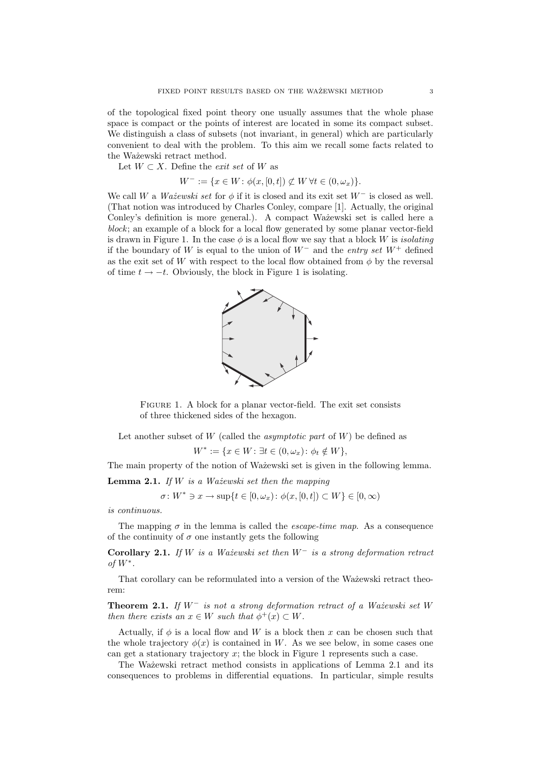of the topological fixed point theory one usually assumes that the whole phase space is compact or the points of interest are located in some its compact subset. We distinguish a class of subsets (not invariant, in general) which are particularly convenient to deal with the problem. To this aim we recall some facts related to the Ważewski retract method.

Let  $W \subset X$ . Define the *exit set* of W as

$$
W^- := \{ x \in W \colon \phi(x, [0, t]) \not\subset W \,\forall t \in (0, \omega_x) \}
$$

We call W a Wa $\check{z}$ ewski set for  $\phi$  if it is closed and its exit set  $W^-$  is closed as well. (That notion was introduced by Charles Conley, compare [1]. Actually, the original Conley's definition is more general.). A compact Wa $\alpha$ <sup>i</sup> set is called here a block; an example of a block for a local flow generated by some planar vector-field is drawn in Figure 1. In the case  $\phi$  is a local flow we say that a block W is *isolating* if the boundary of W is equal to the union of  $W^-$  and the entry set  $W^+$  defined as the exit set of W with respect to the local flow obtained from  $\phi$  by the reversal of time  $t \to -t$ . Obviously, the block in Figure 1 is isolating.



FIGURE 1. A block for a planar vector-field. The exit set consists of three thickened sides of the hexagon.

Let another subset of  $W$  (called the *asymptotic part* of  $W$ ) be defined as

$$
W^* := \{ x \in W : \exists t \in (0, \omega_x) \colon \phi_t \notin W \},
$$

The main property of the notion of Wa $\check{z}$ ewski set is given in the following lemma.

**Lemma 2.1.** If  $W$  is a Wa $\dot{z}$ ewski set then the mapping

$$
\sigma \colon W^* \ni x \to \sup\{t \in [0, \omega_x) \colon \phi(x, [0, t]) \subset W\} \in [0, \infty)
$$

is continuous.

The mapping  $\sigma$  in the lemma is called the *escape-time map*. As a consequence of the continuity of  $\sigma$  one instantly gets the following

Corollary 2.1. If W is a Ważewski set then  $W^-$  is a strong deformation retract of  $W^*$ .

That corollary can be reformulated into a version of the Ważewski retract theorem:

**Theorem 2.1.** If  $W^-$  is not a strong deformation retract of a Ważewski set W then there exists an  $x \in W$  such that  $\phi^+(x) \subset W$ .

Actually, if  $\phi$  is a local flow and W is a block then x can be chosen such that the whole trajectory  $\phi(x)$  is contained in W. As we see below, in some cases one can get a stationary trajectory  $x$ ; the block in Figure 1 represents such a case.

The Wa $\chi$ i retract method consists in applications of Lemma 2.1 and its consequences to problems in differential equations. In particular, simple results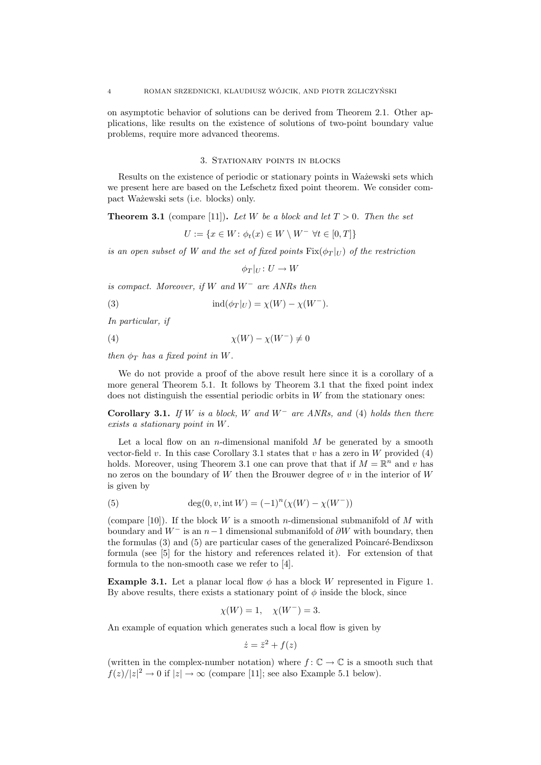on asymptotic behavior of solutions can be derived from Theorem 2.1. Other applications, like results on the existence of solutions of two-point boundary value problems, require more advanced theorems.

### 3. Stationary points in blocks

Results on the existence of periodic or stationary points in Ważewski sets which we present here are based on the Lefschetz fixed point theorem. We consider compact Wa˙zewski sets (i.e. blocks) only.

**Theorem 3.1** (compare [11]). Let W be a block and let  $T > 0$ . Then the set

 $U := \{x \in W : \phi_t(x) \in W \setminus W^- \,\,\forall t \in [0,T]\}$ 

is an open subset of W and the set of fixed points  $Fix(\phi_T|_U)$  of the restriction

 $\phi_T |_{U} : U \to W$ 

is compact. Moreover, if W and  $W^-$  are ANRs then

(3) 
$$
ind(\phi_T|_U) = \chi(W) - \chi(W^-).
$$

In particular, if

$$
\chi(W) - \chi(W^-) \neq 0
$$

then  $\phi_T$  has a fixed point in W.

We do not provide a proof of the above result here since it is a corollary of a more general Theorem 5.1. It follows by Theorem 3.1 that the fixed point index does not distinguish the essential periodic orbits in  $W$  from the stationary ones:

Corollary 3.1. If W is a block, W and  $W^-$  are ANRs, and (4) holds then there exists a stationary point in W.

Let a local flow on an *n*-dimensional manifold  $M$  be generated by a smooth vector-field v. In this case Corollary 3.1 states that v has a zero in W provided (4) holds. Moreover, using Theorem 3.1 one can prove that that if  $M = \mathbb{R}^n$  and v has no zeros on the boundary of W then the Brouwer degree of  $v$  in the interior of W is given by

(5) 
$$
\deg(0, v, \text{int } W) = (-1)^n (\chi(W) - \chi(W^-))
$$

(compare [10]). If the block W is a smooth *n*-dimensional submanifold of M with boundary and  $W^-$  is an  $n-1$  dimensional submanifold of  $\partial W$  with boundary, then the formulas  $(3)$  and  $(5)$  are particular cases of the generalized Poincaré-Bendixson formula (see [5] for the history and references related it). For extension of that formula to the non-smooth case we refer to [4].

**Example 3.1.** Let a planar local flow  $\phi$  has a block W represented in Figure 1. By above results, there exists a stationary point of  $\phi$  inside the block, since

$$
\chi(W) = 1, \quad \chi(W^{-}) = 3.
$$

An example of equation which generates such a local flow is given by

$$
\dot{z} = \bar{z}^2 + f(z)
$$

(written in the complex-number notation) where  $f: \mathbb{C} \to \mathbb{C}$  is a smooth such that  $f(z)/|z|^2 \to 0$  if  $|z| \to \infty$  (compare [11]; see also Example 5.1 below).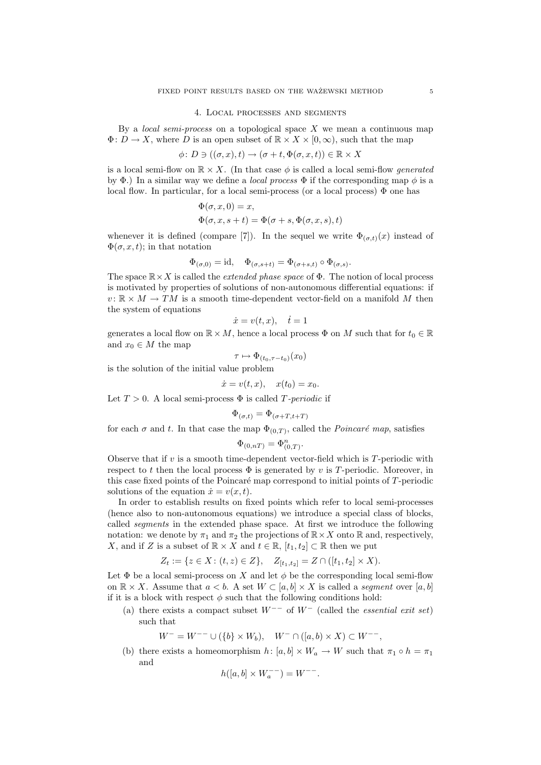#### 4. Local processes and segments

By a *local semi-process* on a topological space  $X$  we mean a continuous map  $\Phi: D \to X$ , where D is an open subset of  $\mathbb{R} \times X \times [0, \infty)$ , such that the map

$$
\phi \colon D \ni ((\sigma, x), t) \to (\sigma + t, \Phi(\sigma, x, t)) \in \mathbb{R} \times X
$$

is a local semi-flow on  $\mathbb{R} \times X$ . (In that case  $\phi$  is called a local semi-flow generated by  $\Phi$ .) In a similar way we define a *local process*  $\Phi$  if the corresponding map  $\phi$  is a local flow. In particular, for a local semi-process (or a local process)  $\Phi$  one has

$$
\Phi(\sigma, x, 0) = x,\Phi(\sigma, x, s + t) = \Phi(\sigma + s, \Phi(\sigma, x, s), t)
$$

whenever it is defined (compare [7]). In the sequel we write  $\Phi_{(\sigma,t)}(x)$  instead of  $\Phi(\sigma, x, t)$ ; in that notation

$$
\Phi_{(\sigma,0)} = \mathrm{id}, \quad \Phi_{(\sigma,s+t)} = \Phi_{(\sigma+s,t)} \circ \Phi_{(\sigma,s)}.
$$

The space  $\mathbb{R} \times X$  is called the *extended phase space* of  $\Phi$ . The notion of local process is motivated by properties of solutions of non-autonomous differential equations: if  $v: \mathbb{R} \times M \to TM$  is a smooth time-dependent vector-field on a manifold M then the system of equations

$$
\dot{x} = v(t, x), \quad \dot{t} = 1
$$

generates a local flow on  $\mathbb{R} \times M$ , hence a local process  $\Phi$  on M such that for  $t_0 \in \mathbb{R}$ and  $x_0 \in M$  the map

$$
\tau \mapsto \Phi_{(t_0, \tau - t_0)}(x_0)
$$

is the solution of the initial value problem

$$
\dot{x} = v(t, x), \quad x(t_0) = x_0.
$$

Let  $T > 0$ . A local semi-process  $\Phi$  is called T-periodic if

$$
\Phi_{(\sigma,t)} = \Phi_{(\sigma+T,t+T)}
$$

for each  $\sigma$  and t. In that case the map  $\Phi_{(0,T)}$ , called the *Poincaré map*, satisfies

$$
\Phi_{(0,nT)} = \Phi_{(0,T)}^n.
$$

Observe that if  $v$  is a smooth time-dependent vector-field which is  $T$ -periodic with respect to t then the local process  $\Phi$  is generated by v is T-periodic. Moreover, in this case fixed points of the Poincaré map correspond to initial points of  $T$ -periodic solutions of the equation  $\dot{x} = v(x, t)$ .

In order to establish results on fixed points which refer to local semi-processes (hence also to non-autonomous equations) we introduce a special class of blocks, called segments in the extended phase space. At first we introduce the following notation: we denote by  $\pi_1$  and  $\pi_2$  the projections of  $\mathbb{R} \times X$  onto  $\mathbb{R}$  and, respectively, X, and if Z is a subset of  $\mathbb{R} \times X$  and  $t \in \mathbb{R}$ ,  $[t_1, t_2] \subset \mathbb{R}$  then we put

$$
Z_t := \{ z \in X : (t, z) \in Z \}, \quad Z_{[t_1, t_2]} = Z \cap ([t_1, t_2] \times X).
$$

Let  $\Phi$  be a local semi-process on X and let  $\phi$  be the corresponding local semi-flow on  $\mathbb{R} \times X$ . Assume that  $a < b$ . A set  $W \subset [a, b] \times X$  is called a *segment* over  $[a, b]$ if it is a block with respect  $\phi$  such that the following conditions hold:

(a) there exists a compact subset  $W^{--}$  of  $W^{-}$  (called the *essential exit set*) such that

 $W^- = W^{--} \cup (\{b\} \times W_b), \quad W^- \cap ([a, b) \times X) \subset W^{--},$ 

(b) there exists a homeomorphism  $h: [a, b] \times W_a \to W$  such that  $\pi_1 \circ h = \pi_1$ and

$$
h([a, b] \times W_a^{--}) = W^{--}.
$$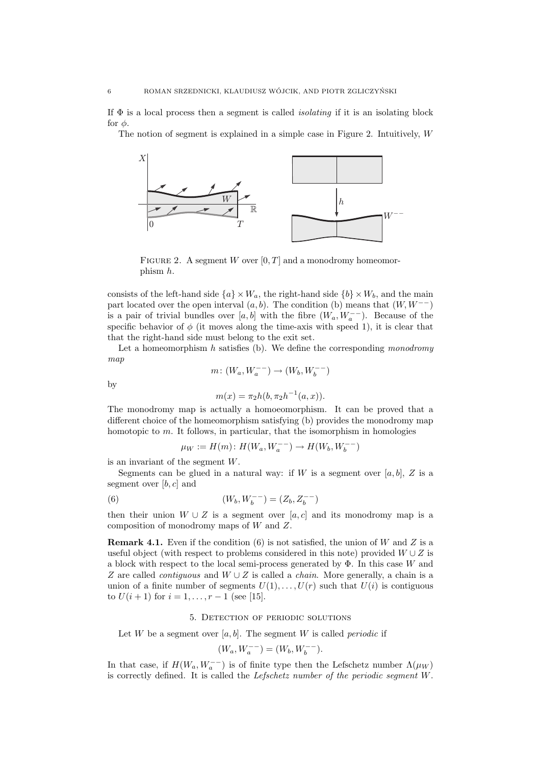If  $\Phi$  is a local process then a segment is called *isolating* if it is an isolating block for  $\phi$ .

The notion of segment is explained in a simple case in Figure 2. Intuitively, W



FIGURE 2. A segment W over  $[0, T]$  and a monodromy homeomorphism h.

consists of the left-hand side  ${a} \times W_a$ , the right-hand side  ${b} \times W_b$ , and the main part located over the open interval  $(a, b)$ . The condition (b) means that  $(W, W^{−})$ is a pair of trivial bundles over  $[a, b]$  with the fibre  $(W_a, W_a^{--})$ . Because of the specific behavior of  $\phi$  (it moves along the time-axis with speed 1), it is clear that that the right-hand side must belong to the exit set.

Let a homeomorphism  $h$  satisfies (b). We define the corresponding monodromy map

$$
m\colon (W_a,W_a^{--})\to (W_b,W_b^{--})
$$

by

$$
m(x) = \pi_2 h(b, \pi_2 h^{-1}(a, x)).
$$

The monodromy map is actually a homoeomorphism. It can be proved that a different choice of the homeomorphism satisfying (b) provides the monodromy map homotopic to  $m$ . It follows, in particular, that the isomorphism in homologies

$$
\mu_W := H(m) \colon H(W_a, W_a^{--}) \to H(W_b, W_b^{--})
$$

is an invariant of the segment  $W$ .

Segments can be glued in a natural way: if W is a segment over  $[a, b]$ , Z is a segment over  $[b, c]$  and

(6) 
$$
(W_b, W_b^{--}) = (Z_b, Z_b^{--})
$$

then their union  $W \cup Z$  is a segment over [a, c] and its monodromy map is a composition of monodromy maps of W and Z.

**Remark 4.1.** Even if the condition (6) is not satisfied, the union of W and Z is a useful object (with respect to problems considered in this note) provided  $W \cup Z$  is a block with respect to the local semi-process generated by  $\Phi$ . In this case W and Z are called *contiguous* and  $W \cup Z$  is called a *chain*. More generally, a chain is a union of a finite number of segments  $U(1), \ldots, U(r)$  such that  $U(i)$  is contiguous to  $U(i + 1)$  for  $i = 1, ..., r - 1$  (see [15].

## 5. Detection of periodic solutions

Let W be a segment over  $[a, b]$ . The segment W is called *periodic* if

$$
(W_a, W_a^{--}) = (W_b, W_b^{--}).
$$

In that case, if  $H(W_a, W_a^{--})$  is of finite type then the Lefschetz number  $\Lambda(\mu_W)$ is correctly defined. It is called the Lefschetz number of the periodic segment W.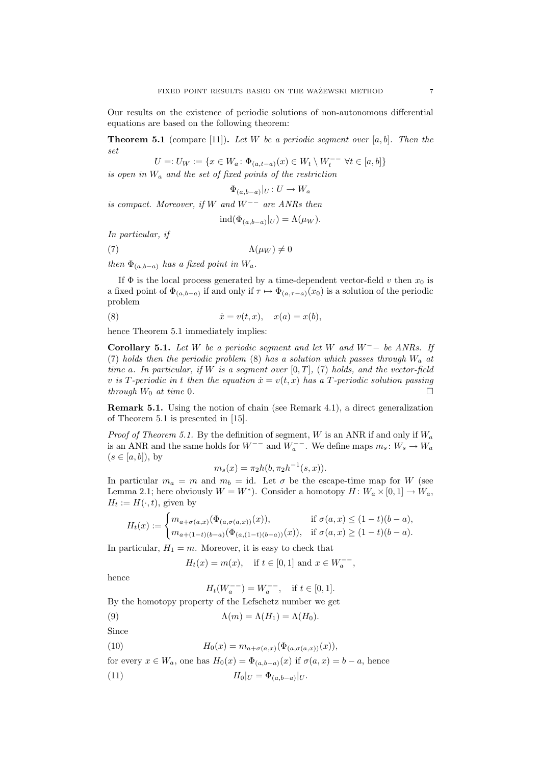Our results on the existence of periodic solutions of non-autonomous differential equations are based on the following theorem:

**Theorem 5.1** (compare [11]). Let W be a periodic segment over  $[a, b]$ . Then the set

U =:  $U_W := \{ x \in W_a : \Phi_{(a,t-a)}(x) \in W_t \setminus W_t^{--} \ \forall t \in [a,b] \}$ 

is open in  $W_a$  and the set of fixed points of the restriction

$$
\Phi_{(a,b-a)}|_U:U\to W_a
$$

is compact. Moreover, if W and  $W^{--}$  are ANRs then

$$
ind(\Phi_{(a,b-a)}|_U) = \Lambda(\mu_W).
$$

In particular, if

(7)  $\Lambda(\mu_W) \neq 0$ 

then  $\Phi_{(a,b-a)}$  has a fixed point in  $W_a$ .

If  $\Phi$  is the local process generated by a time-dependent vector-field v then  $x_0$  is a fixed point of  $\Phi_{(a,b-a)}$  if and only if  $\tau \mapsto \Phi_{(a,\tau-a)}(x_0)$  is a solution of the periodic problem

$$
(8) \qquad \qquad \dot{x} = v(t, x), \quad x(a) = x(b),
$$

hence Theorem 5.1 immediately implies:

Corollary 5.1. Let W be a periodic segment and let W and  $W^- -$  be ANRs. If (7) holds then the periodic problem (8) has a solution which passes through  $W_a$  at time a. In particular, if W is a segment over  $[0, T]$ , (7) holds, and the vector-field v is T-periodic in t then the equation  $\dot{x} = v(t, x)$  has a T-periodic solution passing through  $W_0$  at time 0.

Remark 5.1. Using the notion of chain (see Remark 4.1), a direct generalization of Theorem 5.1 is presented in [15].

*Proof of Theorem 5.1.* By the definition of segment, W is an ANR if and only if  $W_a$ is an ANR and the same holds for  $W^{--}$  and  $W_a^{--}$ . We define maps  $m_s: W_s \to W_a$  $(s \in [a, b]), \text{ by}$ 

$$
m_s(x) = \pi_2 h(b, \pi_2 h^{-1}(s, x)).
$$

In particular  $m_a = m$  and  $m_b = id$ . Let  $\sigma$  be the escape-time map for W (see Lemma 2.1; here obviously  $W = W^*$ ). Consider a homotopy  $H: W_a \times [0,1] \to W_a$ ,  $H_t := H(\cdot, t)$ , given by

$$
H_t(x) := \begin{cases} m_{a+\sigma(a,x)}(\Phi_{(a,\sigma(a,x))}(x)), & \text{if } \sigma(a,x) \le (1-t)(b-a), \\ m_{a+(1-t)(b-a)}(\Phi_{(a,(1-t)(b-a))}(x)), & \text{if } \sigma(a,x) \ge (1-t)(b-a). \end{cases}
$$

In particular,  $H_1 = m$ . Moreover, it is easy to check that

$$
H_t(x) = m(x)
$$
, if  $t \in [0, 1]$  and  $x \in W_a^{--}$ ,

hence

 $H_t(W_a^{--}) = W_a^{--}, \text{ if } t \in [0,1].$ 

By the homotopy property of the Lefschetz number we get

(9) 
$$
\Lambda(m) = \Lambda(H_1) = \Lambda(H_0).
$$

Since

- (10)  $H_0(x) = m_{a+\sigma(a,x)}(\Phi_{(a,\sigma(a,x))}(x)),$
- for every  $x \in W_a$ , one has  $H_0(x) = \Phi_{(a,b-a)}(x)$  if  $\sigma(a,x) = b-a$ , hence
- (11)  $H_0|_U = \Phi_{(a,b-a)}|_U.$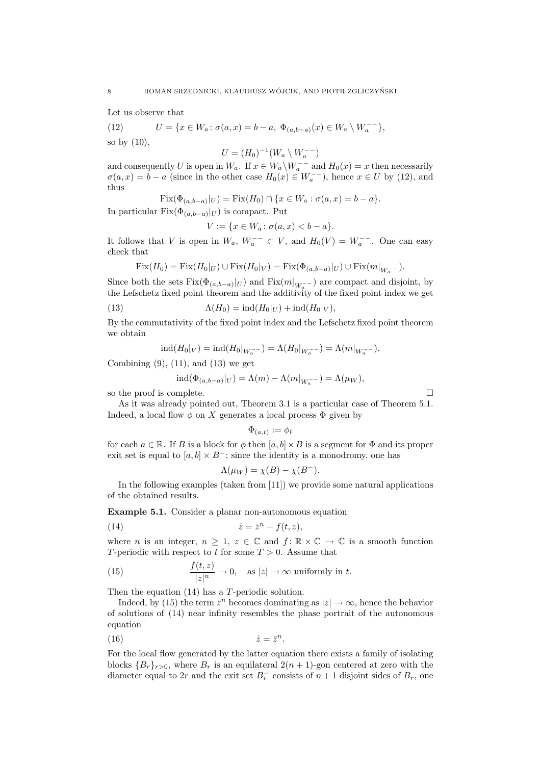Let us observe that

(12) 
$$
U = \{x \in W_a : \sigma(a, x) = b - a, \Phi_{(a, b-a)}(x) \in W_a \setminus W_a^{-1}\},
$$
  
so by (10),

 $U = (H_0)^{-1}(W_a \setminus W_a^{--})$ 

and consequently U is open in  $W_a$ . If  $x \in W_a \backslash W_a^{--}$  and  $H_0(x) = x$  then necessarily  $\sigma(a,x) = b - a$  (since in the other case  $H_0(x) \in W_a^{-1}$ ), hence  $x \in U$  by (12), and thus

$$
Fix(\Phi_{(a,b-a)}|_{U}) = Fix(H_0) \cap \{x \in W_a : \sigma(a,x) = b - a\}.
$$

In particular  $Fix(\Phi_{(a,b-a)}|_U)$  is compact. Put

$$
V := \{ x \in W_a \colon \sigma(a, x) < b - a \}.
$$

It follows that V is open in  $W_a$ ,  $W_a^{--} \subset V$ , and  $H_0(V) = W_a^{--}$ . One can easy check that

$$
Fix(H_0) = Fix(H_0|_U) \cup Fix(H_0|_V) = Fix(\Phi_{(a,b-a)}|_U) \cup Fix(m|_{W_a^{-}}).
$$

Since both the sets  $Fix(\Phi_{(a,b-a)}|_U)$  and  $Fix(m|_{W_a^{-}})$  are compact and disjoint, by the Lefschetz fixed point theorem and the additivity of the fixed point index we get

(13) 
$$
\Lambda(H_0) = \text{ind}(H_0|_U) + \text{ind}(H_0|_V),
$$

By the commutativity of the fixed point index and the Lefschetz fixed point theorem we obtain

$$
ind(H_0|_V) = ind(H_0|_{W_a^{--}}) = \Lambda(H_0|_{W_a^{--}}) = \Lambda(m|_{W_a^{--}}).
$$

Combining  $(9)$ ,  $(11)$ , and  $(13)$  we get

$$
ind(\Phi_{(a,b-a)}|_{U}) = \Lambda(m) - \Lambda(m|_{W_a^{-}}) = \Lambda(\mu_W),
$$

so the proof is complete.  $\Box$ 

As it was already pointed out, Theorem 3.1 is a particular case of Theorem 5.1. Indeed, a local flow  $\phi$  on X generates a local process  $\Phi$  given by

$$
\Phi_{(a,t)} := \phi_t
$$

for each  $a \in \mathbb{R}$ . If B is a block for  $\phi$  then  $[a, b] \times B$  is a segment for  $\Phi$  and its proper exit set is equal to  $[a, b] \times B^-$ ; since the identity is a monodromy, one has

$$
\Lambda(\mu_W) = \chi(B) - \chi(B^-).
$$

In the following examples (taken from [11]) we provide some natural applications of the obtained results.

Example 5.1. Consider a planar non-autonomous equation

$$
(14) \qquad \qquad \dot{z} = \bar{z}^n + f(t, z),
$$

where *n* is an integer,  $n \geq 1$ ,  $z \in \mathbb{C}$  and  $f: \mathbb{R} \times \mathbb{C} \to \mathbb{C}$  is a smooth function T-periodic with respect to t for some  $T > 0$ . Assume that

(15) 
$$
\frac{f(t,z)}{|z|^n} \to 0, \text{ as } |z| \to \infty \text{ uniformly in } t.
$$

Then the equation (14) has a T-periodic solution.

Indeed, by (15) the term  $\bar{z}^n$  becomes dominating as  $|z| \to \infty$ , hence the behavior of solutions of (14) near infinity resembles the phase portrait of the autonomous equation

(16) ˙z = ¯z n .

For the local flow generated by the latter equation there exists a family of isolating blocks  ${B_r}_{r>0}$ , where  $B_r$  is an equilateral  $2(n + 1)$ -gon centered at zero with the diameter equal to 2r and the exit set  $B_r^-$  consists of  $n+1$  disjoint sides of  $B_r$ , one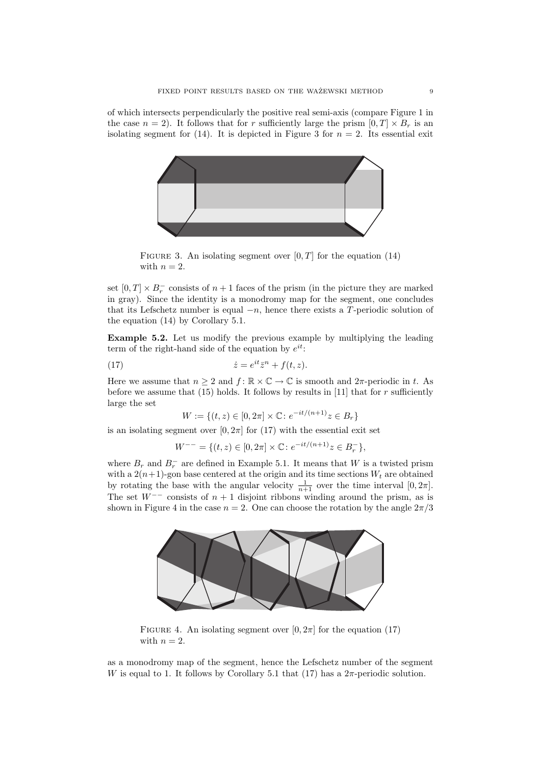of which intersects perpendicularly the positive real semi-axis (compare Figure 1 in the case  $n = 2$ ). It follows that for r sufficiently large the prism  $[0, T] \times B_r$  is an isolating segment for (14). It is depicted in Figure 3 for  $n = 2$ . Its essential exit



FIGURE 3. An isolating segment over  $[0, T]$  for the equation (14) with  $n = 2$ .

set  $[0, T] \times B_r^-$  consists of  $n + 1$  faces of the prism (in the picture they are marked in gray). Since the identity is a monodromy map for the segment, one concludes that its Lefschetz number is equal  $-n$ , hence there exists a T-periodic solution of the equation (14) by Corollary 5.1.

Example 5.2. Let us modify the previous example by multiplying the leading term of the right-hand side of the equation by  $e^{it}$ :

(17) 
$$
\dot{z} = e^{it} \bar{z}^n + f(t, z).
$$

Here we assume that  $n \geq 2$  and  $f: \mathbb{R} \times \mathbb{C} \to \mathbb{C}$  is smooth and  $2\pi$ -periodic in t. As before we assume that  $(15)$  holds. It follows by results in [11] that for r sufficiently large the set

$$
W := \{(t, z) \in [0, 2\pi] \times \mathbb{C} : e^{-it/(n+1)}z \in B_r\}
$$

is an isolating segment over  $[0, 2\pi]$  for (17) with the essential exit set

$$
W^{--} = \{ (t, z) \in [0, 2\pi] \times \mathbb{C} \colon e^{-it/(n+1)}z \in B_r^- \},\
$$

where  $B_r$  and  $B_r^-$  are defined in Example 5.1. It means that W is a twisted prism with a  $2(n+1)$ -gon base centered at the origin and its time sections  $W_t$  are obtained by rotating the base with the angular velocity  $\frac{1}{n+1}$  over the time interval  $[0, 2\pi]$ . The set  $W^{--}$  consists of  $n + 1$  disjoint ribbons winding around the prism, as is shown in Figure 4 in the case  $n = 2$ . One can choose the rotation by the angle  $2\pi/3$ 



FIGURE 4. An isolating segment over  $[0, 2\pi]$  for the equation (17) with  $n = 2$ .

as a monodromy map of the segment, hence the Lefschetz number of the segment W is equal to 1. It follows by Corollary 5.1 that  $(17)$  has a  $2\pi$ -periodic solution.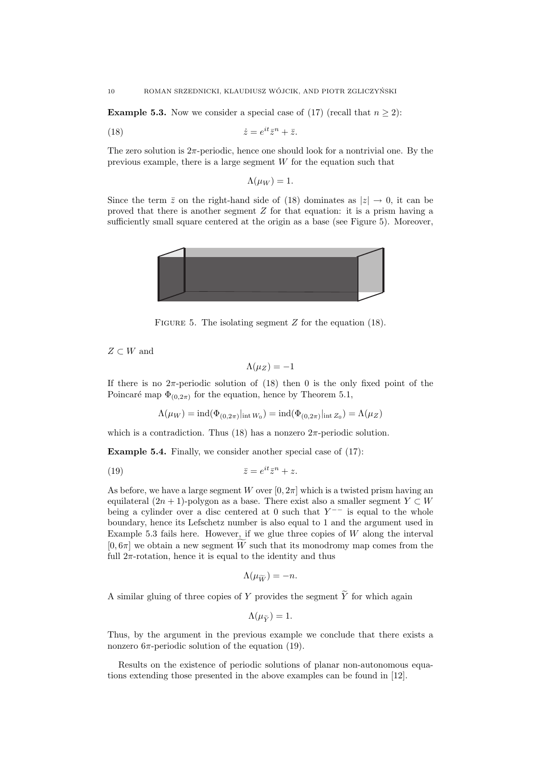**Example 5.3.** Now we consider a special case of (17) (recall that  $n \geq 2$ ):

$$
(18) \qquad \qquad \dot{z} = e^{it}\bar{z}^n + \bar{z}.
$$

The zero solution is  $2\pi$ -periodic, hence one should look for a nontrivial one. By the previous example, there is a large segment  $W$  for the equation such that

$$
\Lambda(\mu_W) = 1.
$$

Since the term  $\bar{z}$  on the right-hand side of (18) dominates as  $|z| \to 0$ , it can be proved that there is another segment Z for that equation: it is a prism having a sufficiently small square centered at the origin as a base (see Figure 5). Moreover,



FIGURE 5. The isolating segment  $Z$  for the equation (18).

 $Z \subset W$  and

$$
\Lambda(\mu_Z) = -1
$$

If there is no  $2\pi$ -periodic solution of (18) then 0 is the only fixed point of the Poincaré map  $\Phi_{(0,2\pi)}$  for the equation, hence by Theorem 5.1,

$$
\Lambda(\mu_W)=\operatorname{ind}(\Phi_{(0,2\pi)}|_{\operatorname{int}W_0})=\operatorname{ind}(\Phi_{(0,2\pi)}|_{\operatorname{int}Z_0})=\Lambda(\mu_Z)
$$

which is a contradiction. Thus (18) has a nonzero  $2\pi$ -periodic solution.

Example 5.4. Finally, we consider another special case of (17):

$$
\bar{z} = e^{it}\bar{z}^n + z.
$$

As before, we have a large segment W over  $[0, 2\pi]$  which is a twisted prism having an equilateral  $(2n + 1)$ -polygon as a base. There exist also a smaller segment  $Y \subset W$ being a cylinder over a disc centered at 0 such that  $Y^{--}$  is equal to the whole boundary, hence its Lefschetz number is also equal to 1 and the argument used in Example 5.3 fails here. However, if we glue three copies of  $W$  along the interval  $[0, 6\pi]$  we obtain a new segment W such that its monodromy map comes from the full  $2\pi$ -rotation, hence it is equal to the identity and thus

$$
\Lambda(\mu_{\widetilde{W}})=-n.
$$

A similar gluing of three copies of Y provides the segment  $\widetilde{Y}$  for which again

$$
\Lambda(\mu_{\widetilde{Y}})=1.
$$

Thus, by the argument in the previous example we conclude that there exists a nonzero  $6\pi$ -periodic solution of the equation (19).

Results on the existence of periodic solutions of planar non-autonomous equations extending those presented in the above examples can be found in [12].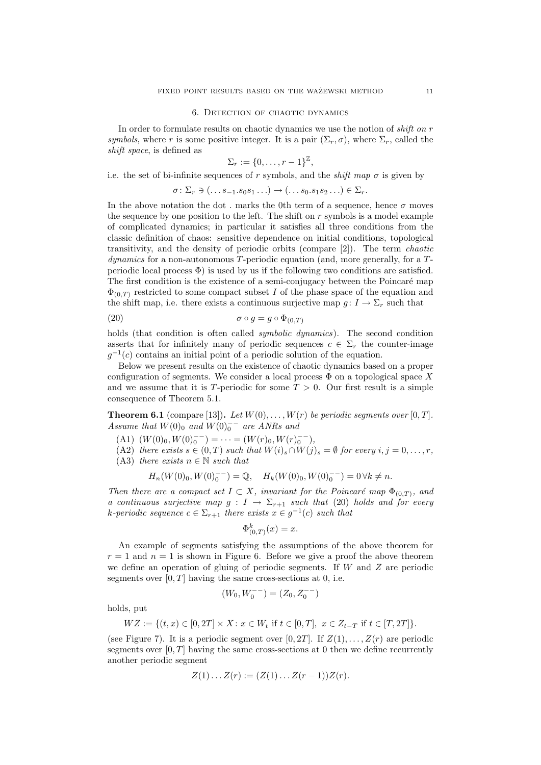#### 6. Detection of chaotic dynamics

In order to formulate results on chaotic dynamics we use the notion of *shift on r* symbols, where r is some positive integer. It is a pair  $(\Sigma_r, \sigma)$ , where  $\Sigma_r$ , called the shift space, is defined as

$$
\Sigma_r := \{0, \ldots, r-1\}^{\mathbb{Z}},
$$

i.e. the set of bi-infinite sequences of r symbols, and the *shift map*  $\sigma$  is given by

$$
\sigma \colon \Sigma_r \ni (\ldots s_{-1}.s_0s_1\ldots) \to (\ldots s_0.s_1s_2\ldots) \in \Sigma_r.
$$

In the above notation the dot . marks the 0th term of a sequence, hence  $\sigma$  moves the sequence by one position to the left. The shift on  $r$  symbols is a model example of complicated dynamics; in particular it satisfies all three conditions from the classic definition of chaos: sensitive dependence on initial conditions, topological transitivity, and the density of periodic orbits (compare [2]). The term chaotic dynamics for a non-autonomous T-periodic equation (and, more generally, for a  $T$ periodic local process  $\Phi$ ) is used by us if the following two conditions are satisfied. The first condition is the existence of a semi-conjugacy between the Poincaré map  $\Phi_{(0,T)}$  restricted to some compact subset I of the phase space of the equation and the shift map, i.e. there exists a continuous surjective map  $g: I \to \Sigma_r$  such that

$$
\sigma \circ g = g \circ \Phi_{(0,T)}
$$

holds (that condition is often called *symbolic dynamics*). The second condition asserts that for infinitely many of periodic sequences  $c \in \Sigma_r$  the counter-image  $g^{-1}(c)$  contains an initial point of a periodic solution of the equation.

Below we present results on the existence of chaotic dynamics based on a proper configuration of segments. We consider a local process  $\Phi$  on a topological space X and we assume that it is T-periodic for some  $T > 0$ . Our first result is a simple consequence of Theorem 5.1.

**Theorem 6.1** (compare [13]). Let  $W(0), \ldots, W(r)$  be periodic segments over [0, T]. Assume that  $W(0)$ <sup>0</sup> and  $W(0)$ <sup>-</sup> are ANRs and

(A1)  $(W(0)_0, W(0)_0^{--}) = \cdots = (W(r)_0, W(r)_0^{--}),$ 

(A2) there exists  $s \in (0, T)$  such that  $W(i)_s \cap W(j)_s = \emptyset$  for every  $i, j = 0, \ldots, r$ , (A3) there exists  $n \in \mathbb{N}$  such that

$$
H_n(W(0)_0, W(0)_0^{--}) = \mathbb{Q}, \quad H_k(W(0)_0, W(0)_0^{--}) = 0 \,\forall k \neq n.
$$

Then there are a compact set  $I \subset X$ , invariant for the Poincaré map  $\Phi_{(0,T)}$ , and a continuous surjective map  $g: I \to \Sigma_{r+1}$  such that (20) holds and for every k-periodic sequence  $c \in \Sigma_{r+1}$  there exists  $x \in g^{-1}(c)$  such that

$$
\Phi^k_{(0,T)}(x) = x.
$$

An example of segments satisfying the assumptions of the above theorem for  $r = 1$  and  $n = 1$  is shown in Figure 6. Before we give a proof the above theorem we define an operation of gluing of periodic segments. If  $W$  and  $Z$  are periodic segments over  $[0, T]$  having the same cross-sections at 0, i.e.

$$
(W_0, W_0^{--}) = (Z_0, Z_0^{--})
$$

holds, put

$$
WZ:=\{(t,x)\in [0,2T]\times X\colon x\in W_t \text{ if } t\in [0,T], \ x\in Z_{t-T} \text{ if } t\in [T,2T]\}
$$

(see Figure 7). It is a periodic segment over  $[0, 2T]$ . If  $Z(1), \ldots, Z(r)$  are periodic segments over  $[0, T]$  having the same cross-sections at 0 then we define recurrently another periodic segment

$$
Z(1) \dots Z(r) := (Z(1) \dots Z(r-1))Z(r).
$$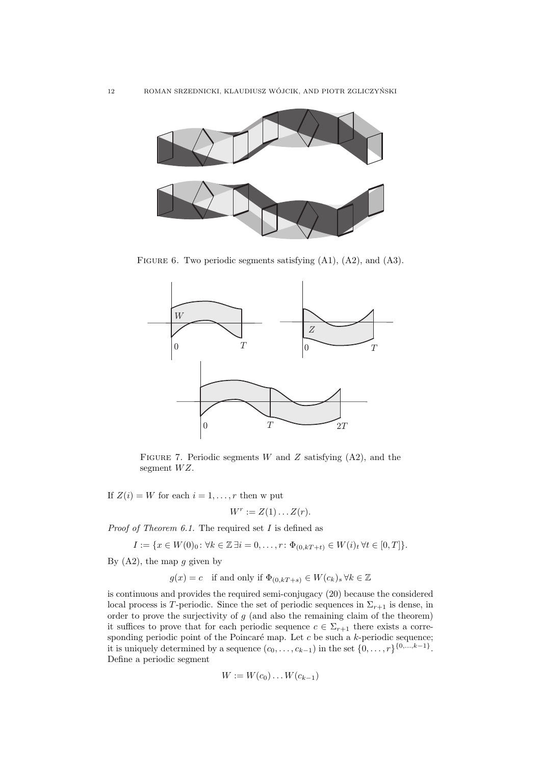

FIGURE 6. Two periodic segments satisfying (A1), (A2), and (A3).



FIGURE 7. Periodic segments W and Z satisfying  $(A2)$ , and the segment  $WZ$ .

If  $Z(i) = W$  for each  $i = 1, \ldots, r$  then w put

$$
W^r := Z(1) \dots Z(r).
$$

*Proof of Theorem 6.1.* The required set  $I$  is defined as

$$
I := \{ x \in W(0)_0 : \forall k \in \mathbb{Z} \, \exists i = 0, \dots, r : \Phi_{(0,kT+t)} \in W(i)_t \, \forall t \in [0,T] \}.
$$

By  $(A2)$ , the map g given by

$$
g(x) = c
$$
 if and only if  $\Phi_{(0,kT+s)} \in W(c_k)_s \,\forall k \in \mathbb{Z}$ 

is continuous and provides the required semi-conjugacy (20) because the considered local process is T-periodic. Since the set of periodic sequences in  $\Sigma_{r+1}$  is dense, in order to prove the surjectivity of  $g$  (and also the remaining claim of the theorem) it suffices to prove that for each periodic sequence  $c \in \Sigma_{r+1}$  there exists a corresponding periodic point of the Poincaré map. Let c be such a k-periodic sequence; it is uniquely determined by a sequence  $(c_0, \ldots, c_{k-1})$  in the set  $\{0, \ldots, r\}^{\{0, \ldots, k-1\}}$ . Define a periodic segment

$$
W := W(c_0) \dots W(c_{k-1})
$$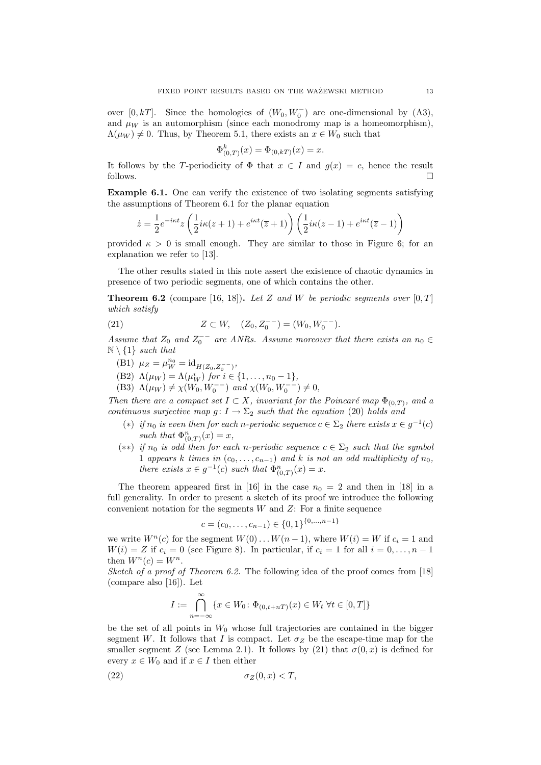over [0, kT]. Since the homologies of  $(W_0, W_0^-)$  are one-dimensional by (A3), and  $\mu_W$  is an automorphism (since each monodromy map is a homeomorphism),  $\Lambda(\mu_W) \neq 0$ . Thus, by Theorem 5.1, there exists an  $x \in W_0$  such that

$$
\Phi_{(0,T)}^k(x) = \Phi_{(0,kT)}(x) = x.
$$

It follows by the T-periodicity of  $\Phi$  that  $x \in I$  and  $q(x) = c$ , hence the result follows.

Example 6.1. One can verify the existence of two isolating segments satisfying the assumptions of Theorem 6.1 for the planar equation

$$
\dot{z} = \frac{1}{2}e^{-i\kappa t}z\left(\frac{1}{2}i\kappa(z+1) + e^{i\kappa t}(\overline{z}+1)\right)\left(\frac{1}{2}i\kappa(z-1) + e^{i\kappa t}(\overline{z}-1)\right)
$$

provided  $\kappa > 0$  is small enough. They are similar to those in Figure 6; for an explanation we refer to [13].

The other results stated in this note assert the existence of chaotic dynamics in presence of two periodic segments, one of which contains the other.

**Theorem 6.2** (compare [16, 18]). Let Z and W be periodic segments over  $[0, T]$ which satisfy

(21) 
$$
Z \subset W, \quad (Z_0, Z_0^{--}) = (W_0, W_0^{--}).
$$

Assume that  $Z_0$  and  $Z_0^-$  are ANRs. Assume moreover that there exists an  $n_0 \in$  $\mathbb{N} \setminus \{1\}$  such that

- (B1)  $\mu_Z = \mu_W^{n_0} = \mathrm{id}_{H(Z_0, Z_0^{--})},$
- (B2)  $\Lambda(\mu_W) = \Lambda(\mu_W^i)$  for  $i \in \{1, ..., n_0 1\}$ ,
- (B3)  $\Lambda(\mu_W) \neq \chi(W_0, W_0^{--})$  and  $\chi(W_0, W_0^{--}) \neq 0$ ,

Then there are a compact set  $I \subset X$ , invariant for the Poincaré map  $\Phi_{(0,T)}$ , and a continuous surjective map  $g: I \to \Sigma_2$  such that the equation (20) holds and

- (\*) if  $n_0$  is even then for each n-periodic sequence  $c \in \Sigma_2$  there exists  $x \in g^{-1}(c)$ such that  $\Phi_{(0,T)}^n(x) = x$ ,
- (\*\*) if  $n_0$  is odd then for each n-periodic sequence  $c \in \Sigma_2$  such that the symbol 1 appears k times in  $(c_0, \ldots, c_{n-1})$  and k is not an odd multiplicity of  $n_0$ , there exists  $x \in g^{-1}(c)$  such that  $\Phi_{(0,T)}^n(x) = x$ .

The theorem appeared first in [16] in the case  $n_0 = 2$  and then in [18] in a full generality. In order to present a sketch of its proof we introduce the following convenient notation for the segments  $W$  and  $Z$ : For a finite sequence

$$
c = (c_0, \dots, c_{n-1}) \in \{0, 1\}^{\{0, \dots, n-1\}}
$$

we write  $W^n(c)$  for the segment  $W(0) \dots W(n-1)$ , where  $W(i) = W$  if  $c_i = 1$  and  $W(i) = Z$  if  $c_i = 0$  (see Figure 8). In particular, if  $c_i = 1$  for all  $i = 0, \ldots, n - 1$ then  $W^n(c) = W^n$ .

Sketch of a proof of Theorem 6.2. The following idea of the proof comes from [18] (compare also [16]). Let

$$
I := \bigcap_{n = -\infty}^{\infty} \{ x \in W_0 \colon \Phi_{(0, t + nT)}(x) \in W_t \; \forall t \in [0, T] \}
$$

be the set of all points in  $W_0$  whose full trajectories are contained in the bigger segment W. It follows that I is compact. Let  $\sigma_Z$  be the escape-time map for the smaller segment Z (see Lemma 2.1). It follows by (21) that  $\sigma(0, x)$  is defined for every  $x \in W_0$  and if  $x \in I$  then either

$$
\sigma_Z(0, x) < T,
$$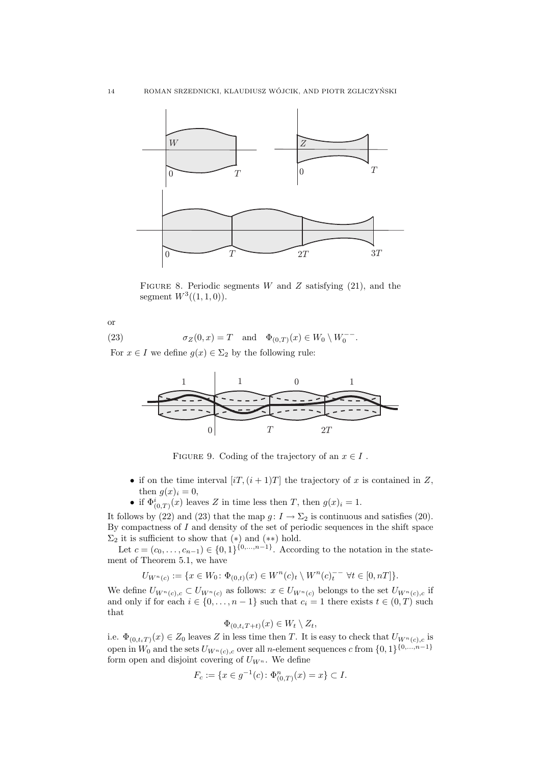

FIGURE 8. Periodic segments  $W$  and  $Z$  satisfying (21), and the segment  $W^3((1,1,0))$ .

or

(23) 
$$
\sigma_Z(0, x) = T
$$
 and  $\Phi_{(0,T)}(x) \in W_0 \setminus W_0^{--}$ .

For  $x \in I$  we define  $g(x) \in \Sigma_2$  by the following rule:



FIGURE 9. Coding of the trajectory of an  $x \in I$ .

- if on the time interval  $[iT,(i+1)T]$  the trajectory of x is contained in Z, then  $g(x)_i = 0$ ,
- if  $\Phi^i_{(0,T)}(x)$  leaves Z in time less then T, then  $g(x)_i = 1$ .

It follows by (22) and (23) that the map  $g: I \to \Sigma_2$  is continuous and satisfies (20). By compactness of  $I$  and density of the set of periodic sequences in the shift space  $\Sigma_2$  it is sufficient to show that  $(*)$  and  $(**)$  hold.

Let  $c = (c_0, \ldots, c_{n-1}) \in \{0, 1\}^{\{0, \ldots, n-1\}}$ . According to the notation in the statement of Theorem 5.1, we have

$$
U_{W^{n}(c)} := \{ x \in W_0 \colon \Phi_{(0,t)}(x) \in W^{n}(c)_t \setminus W^{n}(c)_t^{-} \quad \forall t \in [0, n] \}.
$$

We define  $U_{W^n(c),c} \subset U_{W^n(c)}$  as follows:  $x \in U_{W^n(c)}$  belongs to the set  $U_{W^n(c),c}$  if and only if for each  $i \in \{0, \ldots, n-1\}$  such that  $c_i = 1$  there exists  $t \in (0, T)$  such that

$$
\Phi_{(0,t_iT+t)}(x) \in W_t \setminus Z_t,
$$

i.e.  $\Phi_{(0,t_i,T)}(x) \in Z_0$  leaves Z in less time then T. It is easy to check that  $U_{W^n(c),c}$  is open in  $W_0$  and the sets  $U_{W^n(c),c}$  over all n-element sequences c from  $\{0,1\}^{\{0,\ldots,n-1\}}$ form open and disjoint covering of  $U_{W^n}$ . We define

$$
F_c := \{ x \in g^{-1}(c) \colon \Phi_{(0,T)}^n(x) = x \} \subset I.
$$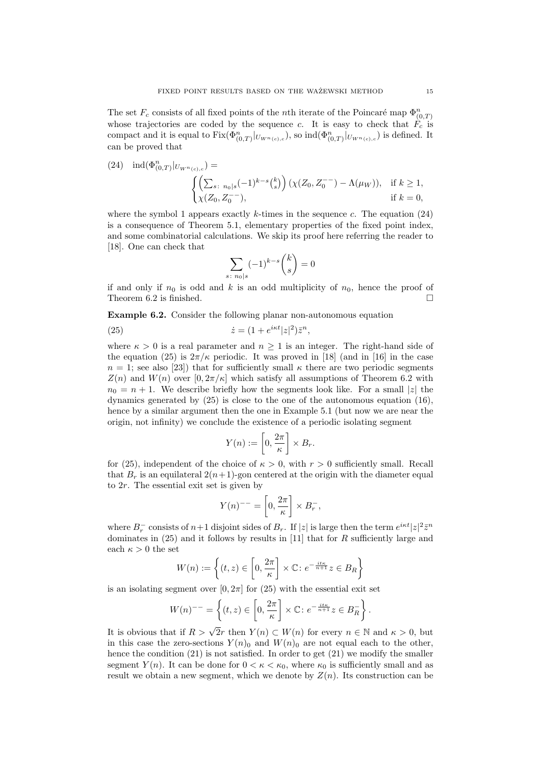The set  $F_c$  consists of all fixed points of the *n*<sup>th</sup> iterate of the Poincaré map  $\Phi_{(0,T)}^n$ whose trajectories are coded by the sequence c. It is easy to check that  $\hat{F}_c$  is compact and it is equal to  $Fix(\Phi_{(0,T)}^n|_{U_{W^n(c),c}})$ , so  $ind(\Phi_{(0,T)}^n|_{U_{W^n(c),c}})$  is defined. It can be proved that

(24) 
$$
\text{ind}(\Phi_{(0,T)}^n|_{U_{W^n(c),c}}) = \left\{ \begin{aligned} & \left( \sum_{s:\ n_0|s} (-1)^{k-s} \binom{k}{s} \right) (\chi(Z_0, Z_0^{--}) - \Lambda(\mu_W)), & \text{if } k \ge 1, \\ & \chi(Z_0, Z_0^{--}), & \text{if } k = 0, \end{aligned} \right.
$$

where the symbol 1 appears exactly k-times in the sequence c. The equation  $(24)$ is a consequence of Theorem 5.1, elementary properties of the fixed point index, and some combinatorial calculations. We skip its proof here referring the reader to [18]. One can check that

$$
\sum_{s \colon n_0|s} (-1)^{k-s} \binom{k}{s} = 0
$$

if and only if  $n_0$  is odd and k is an odd multiplicity of  $n_0$ , hence the proof of Theorem 6.2 is finished.  $\square$ 

Example 6.2. Consider the following planar non-autonomous equation

(25) 
$$
\dot{z} = (1 + e^{i\kappa t}|z|^2)\bar{z}^n,
$$

where  $\kappa > 0$  is a real parameter and  $n \geq 1$  is an integer. The right-hand side of the equation (25) is  $2\pi/k$  periodic. It was proved in [18] (and in [16] in the case  $n = 1$ ; see also [23]) that for sufficiently small  $\kappa$  there are two periodic segments  $Z(n)$  and  $W(n)$  over  $[0, 2\pi/\kappa]$  which satisfy all assumptions of Theorem 6.2 with  $n_0 = n + 1$ . We describe briefly how the segments look like. For a small |z| the dynamics generated by (25) is close to the one of the autonomous equation (16), hence by a similar argument then the one in Example 5.1 (but now we are near the origin, not infinity) we conclude the existence of a periodic isolating segment

$$
Y(n) := \left[0, \frac{2\pi}{\kappa}\right] \times B_r.
$$

for (25), independent of the choice of  $\kappa > 0$ , with  $r > 0$  sufficiently small. Recall that  $B_r$  is an equilateral  $2(n+1)$ -gon centered at the origin with the diameter equal to 2r. The essential exit set is given by

$$
Y(n)^{--} = \left[0, \frac{2\pi}{\kappa}\right] \times B_r^-,
$$

where  $B_r^-$  consists of  $n+1$  disjoint sides of  $B_r$ . If  $|z|$  is large then the term  $e^{i\kappa t}|z|^2\overline{z}^n$ dominates in  $(25)$  and it follows by results in [11] that for R sufficiently large and each  $\kappa > 0$  the set

$$
W(n) := \left\{ (t, z) \in \left[ 0, \frac{2\pi}{\kappa} \right] \times \mathbb{C} : e^{-\frac{it\kappa}{n+1}} z \in B_R \right\}
$$

is an isolating segment over  $[0, 2\pi]$  for (25) with the essential exit set

$$
W(n)^{--} = \left\{ (t, z) \in \left[0, \frac{2\pi}{\kappa}\right] \times \mathbb{C} : e^{-\frac{it\kappa}{n+1}} z \in B_R^-\right\}.
$$

It is obvious that if  $R > \sqrt{2}r$  then  $Y(n) \subset W(n)$  for every  $n \in \mathbb{N}$  and  $\kappa > 0$ , but in this case the zero-sections  $Y(n)_0$  and  $W(n)_0$  are not equal each to the other, hence the condition (21) is not satisfied. In order to get (21) we modify the smaller segment  $Y(n)$ . It can be done for  $0 < \kappa < \kappa_0$ , where  $\kappa_0$  is sufficiently small and as result we obtain a new segment, which we denote by  $Z(n)$ . Its construction can be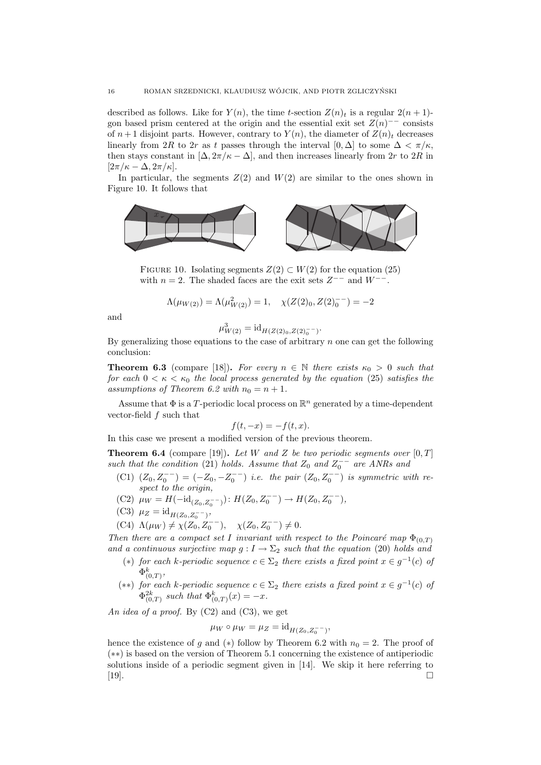described as follows. Like for  $Y(n)$ , the time t-section  $Z(n)_t$  is a regular  $2(n+1)$ gon based prism centered at the origin and the essential exit set  $Z(n)$ <sup>--</sup> consists of  $n+1$  disjoint parts. However, contrary to  $Y(n)$ , the diameter of  $Z(n)_t$  decreases linearly from 2R to 2r as t passes through the interval [0,  $\Delta$ ] to some  $\Delta < \pi/\kappa$ . then stays constant in  $[\Delta, 2\pi/\kappa - \Delta]$ , and then increases linearly from 2r to 2R in  $[2\pi/\kappa - \Delta, 2\pi/\kappa].$ 

In particular, the segments  $Z(2)$  and  $W(2)$  are similar to the ones shown in Figure 10. It follows that



FIGURE 10. Isolating segments  $Z(2) \subset W(2)$  for the equation (25) with  $n = 2$ . The shaded faces are the exit sets  $Z^{--}$  and  $W^{--}$ .

$$
\Lambda(\mu_{W(2)}) = \Lambda(\mu_{W(2)}^2) = 1, \quad \chi(Z(2)_0, Z(2)_0^{--}) = -2
$$

and

$$
\mu_{W(2)}^3 = \mathrm{id}_{H(Z(2)_0, Z(2)_0^{--})}.
$$

By generalizing those equations to the case of arbitrary  $n$  one can get the following conclusion:

**Theorem 6.3** (compare [18]). For every  $n \in \mathbb{N}$  there exists  $\kappa_0 > 0$  such that for each  $0 < \kappa < \kappa_0$  the local process generated by the equation (25) satisfies the assumptions of Theorem 6.2 with  $n_0 = n + 1$ .

Assume that  $\Phi$  is a T-periodic local process on  $\mathbb{R}^n$  generated by a time-dependent vector-field  $f$  such that

$$
f(t, -x) = -f(t, x).
$$

In this case we present a modified version of the previous theorem.

**Theorem 6.4** (compare [19]). Let W and Z be two periodic segments over  $[0, T]$ such that the condition (21) holds. Assume that  $Z_0$  and  $Z_0^{--}$  are ANRs and

- (C1)  $(Z_0, Z_0^{--}) = (-Z_0, -Z_0^{--})$  i.e. the pair  $(Z_0, Z_0^{--})$  is symmetric with respect to the origin,
- (C2)  $\mu_W = H(-id_{(Z_0, Z_0^{--})})$ :  $H(Z_0, Z_0^{--}) \rightarrow H(Z_0, Z_0^{--})$ ,
- (C3)  $\mu_Z = \mathrm{id}_{H(Z_0, Z_0^{--})},$
- (C4)  $\Lambda(\mu_W) \neq \chi(Z_0, Z_0^{--}), \quad \chi(Z_0, Z_0^{--}) \neq 0.$

Then there are a compact set I invariant with respect to the Poincaré map  $\Phi_{(0,T)}$ and a continuous surjective map  $g: I \to \Sigma_2$  such that the equation (20) holds and

- (\*) for each k-periodic sequence  $c \in \Sigma_2$  there exists a fixed point  $x \in g^{-1}(c)$  of  $\Phi_{(0,T)}^k$
- (\*\*) for each k-periodic sequence  $c \in \Sigma_2$  there exists a fixed point  $x \in g^{-1}(c)$  of  $\Phi^{2k}_{(0,T)}$  such that  $\Phi^{k}_{(0,T)}(x) = -x$ .

An idea of a proof. By  $(C2)$  and  $(C3)$ , we get

$$
\mu_W \circ \mu_W = \mu_Z = \mathrm{id}_{H(Z_0, Z_0^{--})},
$$

hence the existence of g and (\*) follow by Theorem 6.2 with  $n_0 = 2$ . The proof of (∗∗) is based on the version of Theorem 5.1 concerning the existence of antiperiodic solutions inside of a periodic segment given in [14]. We skip it here referring to [19].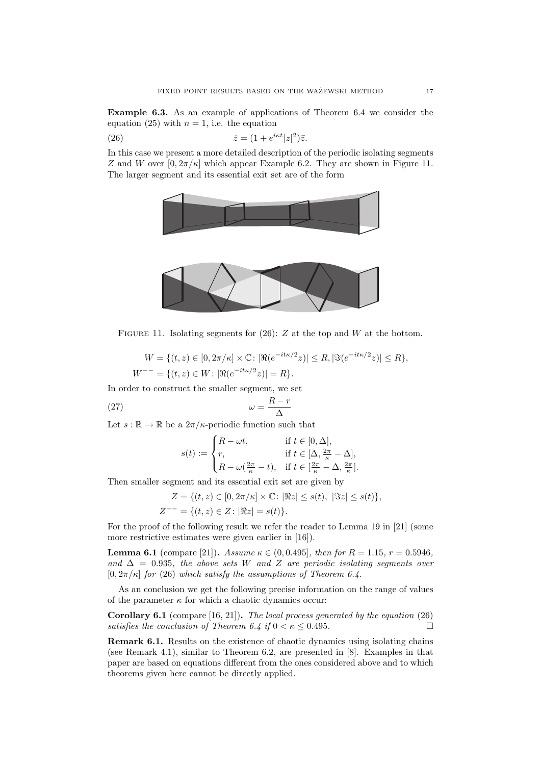Example 6.3. As an example of applications of Theorem 6.4 we consider the equation (25) with  $n = 1$ , i.e. the equation

(26) 
$$
\dot{z} = (1 + e^{i\kappa t}|z|^2)\bar{z}.
$$

In this case we present a more detailed description of the periodic isolating segments Z and W over  $[0, 2\pi/\kappa]$  which appear Example 6.2. They are shown in Figure 11. The larger segment and its essential exit set are of the form



FIGURE 11. Isolating segments for (26): Z at the top and W at the bottom.

 $W = \{(t, z) \in [0, 2\pi/\kappa] \times \mathbb{C} : |\Re(e^{-it\kappa/2}z)| \le R, |\Im(e^{-it\kappa/2}z)| \le R\},\$  $W^{--} = \{(t, z) \in W : |\Re(e^{-it\kappa/2}z)| = R\}.$ 

In order to construct the smaller segment, we set

$$
\omega = \frac{R - r}{\Delta}
$$

Let  $s : \mathbb{R} \to \mathbb{R}$  be a  $2\pi/\kappa$ -periodic function such that

$$
s(t) := \begin{cases} R - \omega t, & \text{if } t \in [0, \Delta], \\ r, & \text{if } t \in [\Delta, \frac{2\pi}{\kappa} - \Delta], \\ R - \omega(\frac{2\pi}{\kappa} - t), & \text{if } t \in [\frac{2\pi}{\kappa} - \Delta, \frac{2\pi}{\kappa}]. \end{cases}
$$

Then smaller segment and its essential exit set are given by

$$
Z = \{(t, z) \in [0, 2\pi/\kappa] \times \mathbb{C} : |\Re z| \le s(t), |\Im z| \le s(t)\},
$$
  

$$
Z^{--} = \{(t, z) \in Z : |\Re z| = s(t)\}.
$$

For the proof of the following result we refer the reader to Lemma 19 in [21] (some more restrictive estimates were given earlier in [16]).

**Lemma 6.1** (compare [21]). Assume  $\kappa \in (0, 0.495]$ , then for  $R = 1.15$ ,  $r = 0.5946$ , and  $\Delta = 0.935$ , the above sets W and Z are periodic isolating segments over  $[0, 2\pi/\kappa]$  for (26) which satisfy the assumptions of Theorem 6.4.

As an conclusion we get the following precise information on the range of values of the parameter  $\kappa$  for which a chaotic dynamics occur:

Corollary 6.1 (compare [16, 21]). The local process generated by the equation (26) satisfies the conclusion of Theorem 6.4 if  $0 < \kappa \leq 0.495$ .

Remark 6.1. Results on the existence of chaotic dynamics using isolating chains (see Remark 4.1), similar to Theorem 6.2, are presented in [8]. Examples in that paper are based on equations different from the ones considered above and to which theorems given here cannot be directly applied.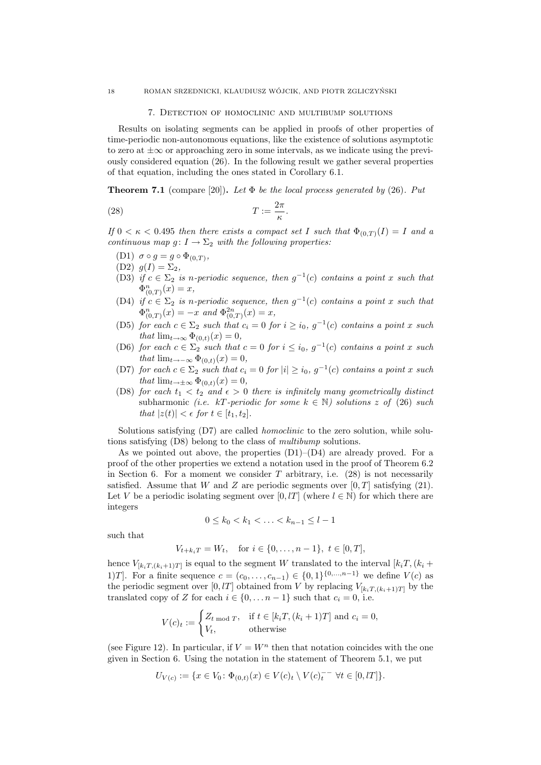#### 18 ROMAN SRZEDNICKI, KLAUDIUSZ WÓJCIK, AND PIOTR ZGLICZYŃSKI

#### 7. Detection of homoclinic and multibump solutions

Results on isolating segments can be applied in proofs of other properties of time-periodic non-autonomous equations, like the existence of solutions asymptotic to zero at  $\pm\infty$  or approaching zero in some intervals, as we indicate using the previously considered equation (26). In the following result we gather several properties of that equation, including the ones stated in Corollary 6.1.

**Theorem 7.1** (compare [20]). Let  $\Phi$  be the local process generated by (26). Put

$$
(28) \t\t T := \frac{2\pi}{\kappa}.
$$

If  $0 < \kappa < 0.495$  then there exists a compact set I such that  $\Phi_{(0,T)}(I) = I$  and a continuous map  $g: I \to \Sigma_2$  with the following properties:

- (D1)  $\sigma \circ g = g \circ \Phi_{(0,T)}$ ,
- (D2)  $q(I) = \Sigma_2$ ,
- (D3) if  $c \in \Sigma_2$  is n-periodic sequence, then  $g^{-1}(c)$  contains a point x such that  $\Phi_{(0,T)}^n(x) = x,$
- (D4) if  $c \in \Sigma_2$  is n-periodic sequence, then  $g^{-1}(c)$  contains a point x such that  $\Phi_{(0,T)}^n(x) = -x$  and  $\Phi_{(0,T)}^{2n}(x) = x$ ,
- (D5) for each  $c \in \Sigma_2$  such that  $c_i = 0$  for  $i \ge i_0$ ,  $g^{-1}(c)$  contains a point x such that  $\lim_{t\to\infty} \Phi_{(0,t)}(x) = 0$ ,
- (D6) for each  $c \in \Sigma_2$  such that  $c = 0$  for  $i \leq i_0$ ,  $g^{-1}(c)$  contains a point x such that  $\lim_{t\to-\infty} \Phi_{(0,t)}(x) = 0$ ,
- (D7) for each  $c \in \Sigma_2$  such that  $c_i = 0$  for  $|i| \geq i_0$ ,  $g^{-1}(c)$  contains a point x such that  $\lim_{t\to\pm\infty} \Phi_{(0,t)}(x) = 0$ ,
- (D8) for each  $t_1 < t_2$  and  $\epsilon > 0$  there is infinitely many geometrically distinct subharmonic (*i.e.* kT-periodic for some  $k \in \mathbb{N}$ ) solutions z of (26) such that  $|z(t)| < \epsilon$  for  $t \in [t_1, t_2]$ .

Solutions satisfying (D7) are called *homoclinic* to the zero solution, while solutions satisfying (D8) belong to the class of multibump solutions.

As we pointed out above, the properties  $(D1)$ – $(D4)$  are already proved. For a proof of the other properties we extend a notation used in the proof of Theorem 6.2 in Section 6. For a moment we consider  $T$  arbitrary, i.e.  $(28)$  is not necessarily satisfied. Assume that W and Z are periodic segments over  $[0, T]$  satisfying (21). Let V be a periodic isolating segment over [0, lT] (where  $l \in \mathbb{N}$ ) for which there are integers

$$
0 \le k_0 < k_1 < \ldots < k_{n-1} \le l-1
$$

such that

$$
V_{t+k_iT} = W_t, \text{ for } i \in \{0, \dots, n-1\}, t \in [0, T],
$$

hence  $V_{[k_i T, (k_i+1)T]}$  is equal to the segment W translated to the interval  $[k_i T, (k_i +$ 1)T]. For a finite sequence  $c = (c_0, \ldots, c_{n-1}) \in \{0,1\}^{\{0,\ldots,n-1\}}$  we define  $V(c)$  as the periodic segment over [0, lT] obtained from V by replacing  $V_{[k,T,(k+1)T]}$  by the translated copy of Z for each  $i \in \{0, \ldots n-1\}$  such that  $c_i = 0$ , i.e.

$$
V(c)_t := \begin{cases} Z_t \mod T, & \text{if } t \in [k_i, (k_i + 1)T] \text{ and } c_i = 0, \\ V_t, & \text{otherwise} \end{cases}
$$

(see Figure 12). In particular, if  $V = W<sup>n</sup>$  then that notation coincides with the one given in Section 6. Using the notation in the statement of Theorem 5.1, we put

$$
U_{V(c)} := \{ x \in V_0 \colon \Phi_{(0,t)}(x) \in V(c)_t \setminus V(c)_t^{-} \quad \forall t \in [0, t] \}.
$$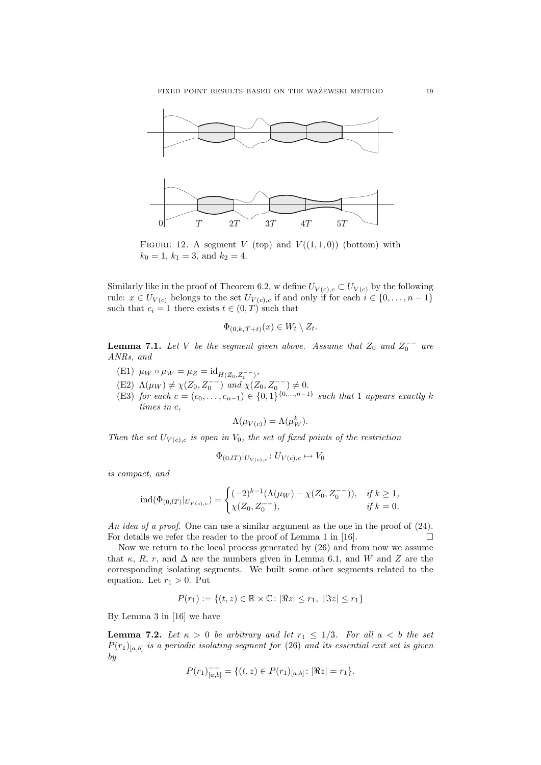

FIGURE 12. A segment V (top) and  $V((1,1,0))$  (bottom) with  $k_0 = 1, k_1 = 3, \text{ and } k_2 = 4.$ 

Similarly like in the proof of Theorem 6.2, w define  $U_{V(c),c} \subset U_{V(c)}$  by the following rule:  $x \in U_{V(c)}$  belongs to the set  $U_{V(c),c}$  if and only if for each  $i \in \{0, \ldots, n-1\}$ such that  $c_i = 1$  there exists  $t \in (0, T)$  such that

$$
\Phi_{(0,k_iT+t)}(x) \in W_t \setminus Z_t.
$$

**Lemma 7.1.** Let V be the segment given above. Assume that  $Z_0$  and  $Z_0^{--}$  are ANRs, and

- (E1)  $\mu_W \circ \mu_W = \mu_Z = \mathrm{id}_{H(Z_0, Z_0^{--})},$
- (E2)  $\Lambda(\mu_W) \neq \chi(Z_0, Z_0^{--})$  and  $\chi(Z_0, Z_0^{--}) \neq 0$ .
- (E3) for each  $c = (c_0, \ldots, c_{n-1}) \in \{0,1\}^{\{0,\ldots,n-1\}}$  such that 1 appears exactly k times in c,

$$
\Lambda(\mu_{V(c)}) = \Lambda(\mu_W^k).
$$

Then the set  $U_{V(c),c}$  is open in  $V_0$ , the set of fixed points of the restriction

$$
\Phi_{(0,lT)}|_{U_{V(c),c}}: U_{V(c),c} \mapsto V_0
$$

is compact, and

$$
\operatorname{ind}(\Phi_{(0,lT)}|_{U_{V(c),c}}) = \begin{cases} (-2)^{k-1} (\Lambda(\mu_W) - \chi(Z_0, Z_0^{--})), & \text{if } k \ge 1, \\ \chi(Z_0, Z_0^{--}), & \text{if } k = 0. \end{cases}
$$

An idea of a proof. One can use a similar argument as the one in the proof of  $(24)$ . For details we refer the reader to the proof of Lemma 1 in [16].  $\Box$ 

Now we return to the local process generated by (26) and from now we assume that  $\kappa$ , R, r, and  $\Delta$  are the numbers given in Lemma 6.1, and W and Z are the corresponding isolating segments. We built some other segments related to the equation. Let  $r_1 > 0$ . Put

$$
P(r_1) := \{(t, z) \in \mathbb{R} \times \mathbb{C} : |\Re z| \le r_1, |\Im z| \le r_1\}
$$

By Lemma 3 in [16] we have

**Lemma 7.2.** Let  $\kappa > 0$  be arbitrary and let  $r_1 \leq 1/3$ . For all  $a < b$  the set  $P(r_1)_{[a,b]}$  is a periodic isolating segment for (26) and its essential exit set is given by

$$
P(r_1)_{[a,b]}^- = \{(t,z) \in P(r_1)_{[a,b]}\colon |\Re z| = r_1\}.
$$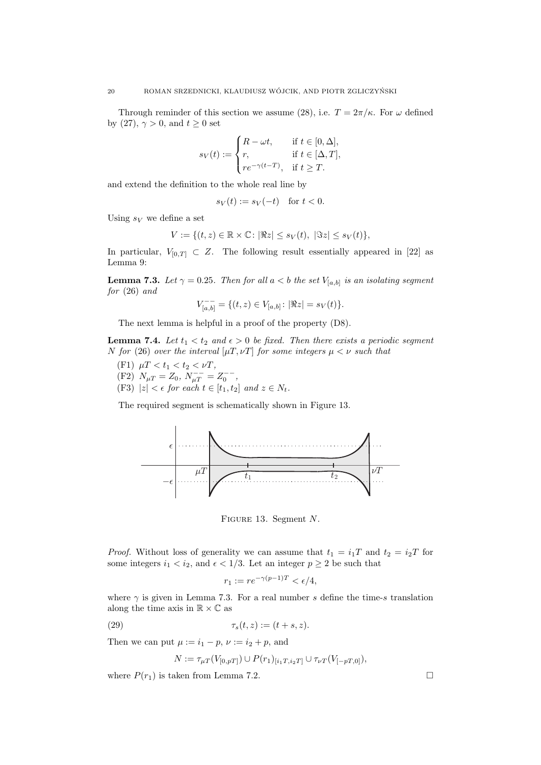Through reminder of this section we assume (28), i.e.  $T = 2\pi/\kappa$ . For  $\omega$  defined by (27),  $\gamma > 0$ , and  $t \geq 0$  set

$$
s_V(t) := \begin{cases} R - \omega t, & \text{if } t \in [0, \Delta], \\ r, & \text{if } t \in [\Delta, T], \\ re^{-\gamma(t-T)}, & \text{if } t \ge T. \end{cases}
$$

and extend the definition to the whole real line by

$$
s_V(t) := s_V(-t) \quad \text{for } t < 0.
$$

Using  $s_V$  we define a set

$$
V := \{(t, z) \in \mathbb{R} \times \mathbb{C} \colon |\Re z| \le s_V(t), |\Im z| \le s_V(t)\},\
$$

In particular,  $V_{[0,T]} \subset Z$ . The following result essentially appeared in [22] as Lemma 9:

**Lemma 7.3.** Let  $\gamma = 0.25$ . Then for all  $a < b$  the set  $V_{[a,b]}$  is an isolating segment for (26) and

$$
V_{[a,b]}^{--} = \{ (t,z) \in V_{[a,b]} \colon |\Re z| = s_V(t) \}.
$$

The next lemma is helpful in a proof of the property (D8).

**Lemma 7.4.** Let  $t_1 < t_2$  and  $\epsilon > 0$  be fixed. Then there exists a periodic segment N for (26) over the interval  $[\mu T, \nu T]$  for some integers  $\mu < \nu$  such that

- (F1)  $\mu T < t_1 < t_2 < \nu T$ ,
- (F2)  $N_{\mu T} = Z_0, N_{\mu T}^{--} = Z_0^{--}$ ,
- (F3)  $|z| < \epsilon$  for each  $t \in [t_1, t_2]$  and  $z \in N_t$ .

The required segment is schematically shown in Figure 13.



FIGURE 13. Segment N.

*Proof.* Without loss of generality we can assume that  $t_1 = i_1T$  and  $t_2 = i_2T$  for some integers  $i_1 < i_2$ , and  $\epsilon < 1/3$ . Let an integer  $p \ge 2$  be such that

$$
r_1 := r e^{-\gamma(p-1)T} < \epsilon/4,
$$

where  $\gamma$  is given in Lemma 7.3. For a real number s define the time-s translation along the time axis in  $\mathbb{R} \times \mathbb{C}$  as

$$
(29) \qquad \qquad \tau_s(t,z) := (t+s,z).
$$

Then we can put  $\mu := i_1 - p$ ,  $\nu := i_2 + p$ , and

$$
N := \tau_{\mu T}(V_{[0,pT]}) \cup P(r_1)_{[i_1T, i_2T]} \cup \tau_{\nu T}(V_{[-pT,0]}),
$$

where  $P(r_1)$  is taken from Lemma 7.2.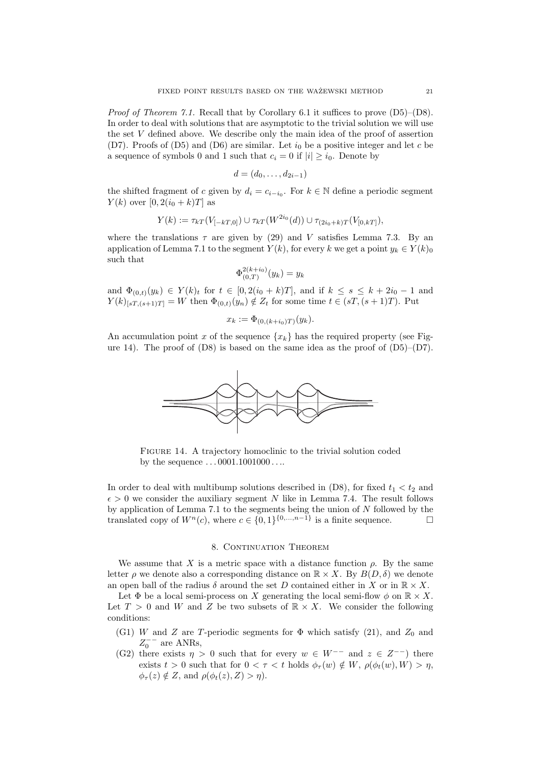Proof of Theorem 7.1. Recall that by Corollary 6.1 it suffices to prove (D5)–(D8). In order to deal with solutions that are asymptotic to the trivial solution we will use the set V defined above. We describe only the main idea of the proof of assertion (D7). Proofs of (D5) and (D6) are similar. Let  $i_0$  be a positive integer and let c be a sequence of symbols 0 and 1 such that  $c_i = 0$  if  $|i| \geq i_0$ . Denote by

$$
d=(d_0,\ldots,d_{2i-1})
$$

the shifted fragment of c given by  $d_i = c_{i-i_0}$ . For  $k \in \mathbb{N}$  define a periodic segment  $Y(k)$  over  $[0, 2(i_0 + k)T]$  as

$$
Y(k) := \tau_{kT}(V_{[-kT,0]}) \cup \tau_{kT}(W^{2i_0}(d)) \cup \tau_{(2i_0+k)T}(V_{[0,kT]}),
$$

where the translations  $\tau$  are given by (29) and V satisfies Lemma 7.3. By an application of Lemma 7.1 to the segment  $Y(k)$ , for every k we get a point  $y_k \in Y(k)_0$ such that

$$
\Phi_{(0,T)}^{2(k+i_0)}(y_k) = y_k
$$

and  $\Phi_{(0,t)}(y_k) \in Y(k)_t$  for  $t \in [0, 2(i_0 + k)T]$ , and if  $k \le s \le k + 2i_0 - 1$  and  $Y(k)_{[sT,(s+1)T]} = W$  then  $\Phi_{(0,t)}(y_n) \notin Z_t$  for some time  $t \in (sT,(s+1)T)$ . Put

$$
x_k := \Phi_{(0,(k+i_0)T)}(y_k).
$$

An accumulation point x of the sequence  $\{x_k\}$  has the required property (see Figure 14). The proof of  $(D8)$  is based on the same idea as the proof of  $(D5)-(D7)$ .



Figure 14. A trajectory homoclinic to the trivial solution coded by the sequence . . . 0001.1001000 . . ..

In order to deal with multibump solutions described in  $(D8)$ , for fixed  $t_1 < t_2$  and  $\epsilon > 0$  we consider the auxiliary segment N like in Lemma 7.4. The result follows by application of Lemma 7.1 to the segments being the union of  $N$  followed by the translated copy of  $W^n(c)$ , where  $c \in \{0,1\}^{\{0,\ldots,n-1\}}$  is a finite sequence.

## 8. CONTINUATION THEOREM

We assume that X is a metric space with a distance function  $\rho$ . By the same letter  $\rho$  we denote also a corresponding distance on  $\mathbb{R} \times X$ . By  $B(D, \delta)$  we denote an open ball of the radius  $\delta$  around the set D contained either in X or in  $\mathbb{R} \times X$ .

Let  $\Phi$  be a local semi-process on X generating the local semi-flow  $\phi$  on  $\mathbb{R} \times X$ . Let  $T > 0$  and W and Z be two subsets of  $\mathbb{R} \times X$ . We consider the following conditions:

- (G1) W and Z are T-periodic segments for  $\Phi$  which satisfy (21), and  $Z_0$  and  $Z_0^{--}$  are ANRs,
- (G2) there exists  $\eta > 0$  such that for every  $w \in W^{--}$  and  $z \in Z^{--}$ ) there exists  $t > 0$  such that for  $0 < \tau < t$  holds  $\phi_{\tau}(w) \notin W$ ,  $\rho(\phi_t(w), W) > \eta$ ,  $\phi_{\tau}(z) \notin Z$ , and  $\rho(\phi_t(z), Z) > \eta$ ).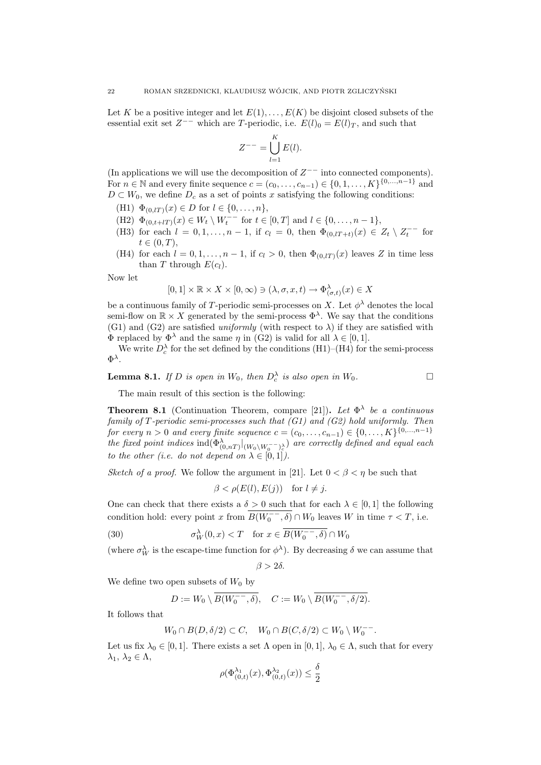Let K be a positive integer and let  $E(1), \ldots, E(K)$  be disjoint closed subsets of the essential exit set  $Z^{--}$  which are T-periodic, i.e.  $E(l)_0 = E(l)_T$ , and such that

$$
Z^{--} = \bigcup_{l=1}^K E(l).
$$

(In applications we will use the decomposition of  $Z^{--}$  into connected components). For *n* ∈ N and every finite sequence  $c = (c_0, ..., c_{n-1}) \in \{0, 1, ..., K\}^{\{0, ..., n-1\}}$  and  $D \subset W_0$ , we define  $D_c$  as a set of points x satisfying the following conditions:

- (H1)  $\Phi_{(0,lT)}(x) \in D$  for  $l \in \{0,\ldots,n\},$
- (H2)  $\Phi_{(0,t+lT)}(x) \in W_t \setminus W_t^{--}$  for  $t \in [0,T]$  and  $l \in \{0,\ldots,n-1\}$ ,
- (H3) for each  $l = 0, 1, ..., n 1$ , if  $c_l = 0$ , then  $\Phi_{(0, lT + t)}(x) \in Z_t \setminus Z_t^{--}$  for  $t \in (0, T),$
- (H4) for each  $l = 0, 1, \ldots, n 1$ , if  $c_l > 0$ , then  $\Phi_{(0,lT)}(x)$  leaves Z in time less than T through  $E(c_l)$ .

Now let

$$
[0,1] \times \mathbb{R} \times X \times [0,\infty) \ni (\lambda, \sigma, x, t) \to \Phi_{(\sigma,t)}^{\lambda}(x) \in X
$$

be a continuous family of T-periodic semi-processes on X. Let  $\phi^{\lambda}$  denotes the local semi-flow on  $\mathbb{R} \times X$  generated by the semi-process  $\Phi^{\lambda}$ . We say that the conditions (G1) and (G2) are satisfied uniformly (with respect to  $\lambda$ ) if they are satisfied with  $\Phi$  replaced by  $\Phi^{\lambda}$  and the same  $\eta$  in (G2) is valid for all  $\lambda \in [0,1]$ .

We write  $D_c^{\lambda}$  for the set defined by the conditions (H1)–(H4) for the semi-process  $\Phi^{\lambda}$ .

**Lemma 8.1.** If D is open in  $W_0$ , then  $D_c^{\lambda}$  is also open in  $W_0$ .

$$
\qquad \qquad \Box
$$

The main result of this section is the following:

**Theorem 8.1** (Continuation Theorem, compare [21]). Let  $\Phi^{\lambda}$  be a continuous family of  $T$ -periodic semi-processes such that  $(G1)$  and  $(G2)$  hold uniformly. Then for every  $n > 0$  and every finite sequence  $c = (c_0, \ldots, c_{n-1}) \in \{0, \ldots, K\}^{\{0, \ldots, n-1\}}$ the fixed point indices  $ind(\Phi^\lambda_{(0,nT)}|_{(W_0\setminus W_0^--)^\lambda_c})$  are correctly defined and equal each to the other (i.e. do not depend on  $\lambda \in [0,1]$ ).

Sketch of a proof. We follow the argument in [21]. Let  $0 < \beta < \eta$  be such that

$$
\beta < \rho(E(l), E(j)) \quad \text{for } l \neq j.
$$

One can check that there exists a  $\delta > 0$  such that for each  $\lambda \in [0, 1]$  the following condition hold: every point x from  $\overline{B(W_0^-, \delta)} \cap W_0$  leaves W in time  $\tau < T$ , i.e.

(30) 
$$
\sigma_W^{\lambda}(0, x) < T \quad \text{for } x \in \overline{B(W_0^-, \delta)} \cap W_0
$$

(where  $\sigma_W^{\lambda}$  is the escape-time function for  $\phi^{\lambda}$ ). By decreasing  $\delta$  we can assume that

$$
\beta > 2\delta.
$$

We define two open subsets of  $W_0$  by

$$
D := W_0 \setminus \overline{B(W_0^{--}, \delta)}, \quad C := W_0 \setminus \overline{B(W_0^{--}, \delta/2)}.
$$

It follows that

$$
W_0 \cap B(D, \delta/2) \subset C, \quad W_0 \cap B(C, \delta/2) \subset W_0 \setminus W_0^{--}.
$$

Let us fix  $\lambda_0 \in [0, 1]$ . There exists a set  $\Lambda$  open in  $[0, 1]$ ,  $\lambda_0 \in \Lambda$ , such that for every  $\lambda_1, \lambda_2 \in \Lambda$ ,

$$
\rho(\Phi^{\lambda_1}_{(0,t)}(x), \Phi^{\lambda_2}_{(0,t)}(x)) \le \frac{\delta}{2}
$$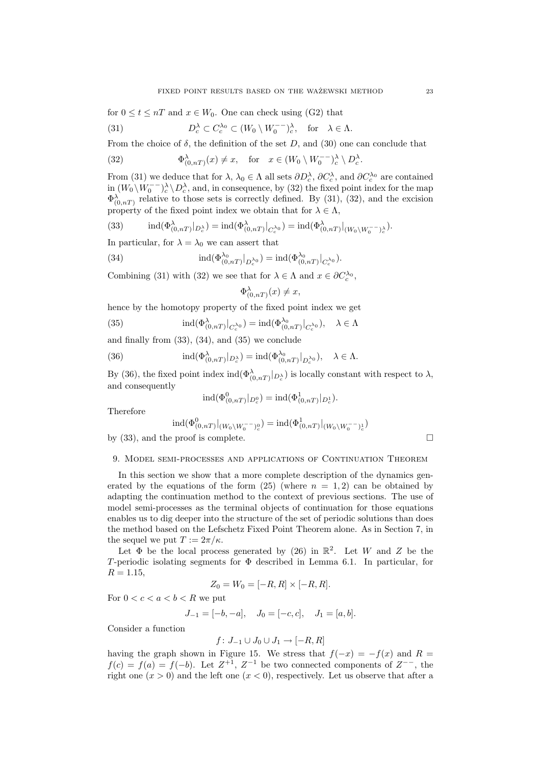for  $0 \le t \le nT$  and  $x \in W_0$ . One can check using (G2) that

(31) 
$$
D_c^{\lambda} \subset C_c^{\lambda_0} \subset (W_0 \setminus W_0^{-1})_c^{\lambda}, \text{ for } \lambda \in \Lambda.
$$

From the choice of  $\delta$ , the definition of the set D, and (30) one can conclude that

(32) 
$$
\Phi_{(0,nT)}^{\lambda}(x) \neq x, \text{ for } x \in (W_0 \setminus W_0^{--})^{\lambda} \setminus D_c^{\lambda}.
$$

From (31) we deduce that for  $\lambda, \lambda_0 \in \Lambda$  all sets  $\partial D_c^{\lambda}, \partial C_c^{\lambda}$ , and  $\partial C_c^{\lambda_0}$  are contained  $\lim (W_0 \setminus W_0^{--})^{\lambda}_c \setminus D_c^{\lambda}$ , and, in consequence, by (32) the fixed point index for the map  $\Phi_{(0,nT)}^{\lambda}$  relative to those sets is correctly defined. By (31), (32), and the excision property of the fixed point index we obtain that for  $\lambda \in \Lambda$ ,

(33) 
$$
\operatorname{ind}(\Phi_{(0,nT)}^{\lambda}|_{D_c^{\lambda}}) = \operatorname{ind}(\Phi_{(0,nT)}^{\lambda}|_{C_c^{\lambda_0}}) = \operatorname{ind}(\Phi_{(0,nT)}^{\lambda}|_{(W_0 \setminus W_0^- - \lambda_c^{\lambda})}.
$$

In particular, for  $\lambda = \lambda_0$  we can assert that

(34) 
$$
\mathrm{ind}(\Phi_{(0,nT)}^{\lambda_0}|_{D_c^{\lambda_0}})=\mathrm{ind}(\Phi_{(0,nT)}^{\lambda_0}|_{C_c^{\lambda_0}}).
$$

Combining (31) with (32) we see that for  $\lambda \in \Lambda$  and  $x \in \partial C_c^{\lambda_0}$ ,

$$
\Phi^{\lambda}_{(0,nT)}(x) \neq x,
$$

hence by the homotopy property of the fixed point index we get

(35) 
$$
\operatorname{ind}(\Phi^{\lambda}_{(0,nT)}|_{C_c^{\lambda_0}}) = \operatorname{ind}(\Phi^{\lambda_0}_{(0,nT)}|_{C_c^{\lambda_0}}), \quad \lambda \in \Lambda
$$

and finally from  $(33)$ ,  $(34)$ , and  $(35)$  we conclude

(36) 
$$
\operatorname{ind}(\Phi_{(0,nT)}^{\lambda}|_{D_c^{\lambda}}) = \operatorname{ind}(\Phi_{(0,nT)}^{\lambda_0}|_{D_c^{\lambda_0}}), \quad \lambda \in \Lambda.
$$

By (36), the fixed point index  $\text{ind}(\Phi_{(0,nT)}^{\lambda}|_{D_c^{\lambda}})$  is locally constant with respect to  $\lambda$ , and consequently

$$
ind(\Phi^0_{(0,nT)}|_{D_c^0}) = ind(\Phi^1_{(0,nT)}|_{D_c^1}).
$$

Therefore

$$
\mathrm{ind}(\Phi^0_{(0,nT)}|_{(W_0\setminus W_0^-\supseteq^0_c})=\mathrm{ind}(\Phi^1_{(0,nT)}|_{(W_0\setminus W_0^-\supseteq^1_c})
$$

by (33), and the proof is complete.  $\Box$ 

## 9. Model semi-processes and applications of Continuation Theorem

In this section we show that a more complete description of the dynamics generated by the equations of the form  $(25)$  (where  $n = 1, 2$ ) can be obtained by adapting the continuation method to the context of previous sections. The use of model semi-processes as the terminal objects of continuation for those equations enables us to dig deeper into the structure of the set of periodic solutions than does the method based on the Lefschetz Fixed Point Theorem alone. As in Section 7, in the sequel we put  $T := 2\pi/\kappa$ .

Let  $\Phi$  be the local process generated by (26) in  $\mathbb{R}^2$ . Let W and Z be the T-periodic isolating segments for  $\Phi$  described in Lemma 6.1. In particular, for  $R = 1.15$ ,

$$
Z_0 = W_0 = [-R, R] \times [-R, R].
$$

For  $0 < c < a < b < R$  we put

$$
J_{-1} = [-b, -a], \quad J_0 = [-c, c], \quad J_1 = [a, b].
$$

Consider a function

$$
f\colon J_{-1}\cup J_0\cup J_1\to [-R,R]
$$

having the graph shown in Figure 15. We stress that  $f(-x) = -f(x)$  and  $R =$  $f(c) = f(a) = f(-b)$ . Let  $Z^{+1}$ ,  $Z^{-1}$  be two connected components of  $Z^{--}$ , the right one  $(x > 0)$  and the left one  $(x < 0)$ , respectively. Let us observe that after a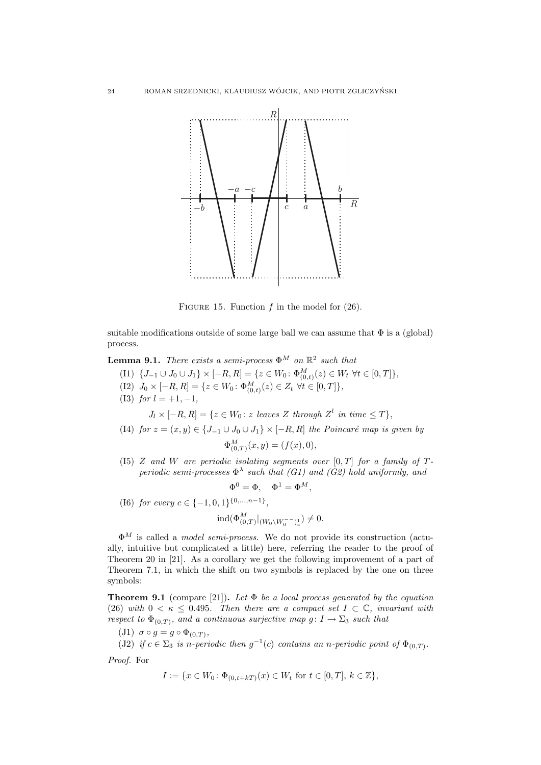

FIGURE 15. Function  $f$  in the model for  $(26)$ .

suitable modifications outside of some large ball we can assume that  $\Phi$  is a (global) process.

**Lemma 9.1.** There exists a semi-process  $\Phi^M$  on  $\mathbb{R}^2$  such that

- (I1)  $\{J_{-1} \cup J_0 \cup J_1\} \times [-R, R] = \{z \in W_0 : \Phi_{(0,t)}^M(z) \in W_t \ \forall t \in [0,T] \},\$
- (I2)  $J_0 \times [-R, R] = \{ z \in W_0 : \Phi^M_{(0,t)}(z) \in Z_t \ \forall t \in [0, T] \},$
- (I3) for  $l = +1, -1,$

 $J_l \times [-R, R] = \{ z \in W_0 : z \text{ leaves } Z \text{ through } Z^l \text{ in time } \leq T \},$ 

- (I4) for  $z = (x, y) \in \{J_{-1} \cup J_0 \cup J_1\} \times [-R, R]$  the Poincaré map is given by  $\Phi_{(0,T)}^M(x,y) = (f(x), 0),$
- (I5) Z and W are periodic isolating segments over  $[0, T]$  for a family of Tperiodic semi-processes  $\Phi^{\lambda}$  such that (G1) and (G2) hold uniformly, and

$$
\Phi^0 = \Phi, \quad \Phi^1 = \Phi^M,
$$

(16) for every 
$$
c \in \{-1, 0, 1\}^{\{0, \ldots, n-1\}},
$$

$$
\mathrm{ind}(\Phi^M_{(0,T)}|_{(W_0\setminus W_0^{--})^1_c})\neq 0.
$$

 $\Phi^M$  is called a *model semi-process*. We do not provide its construction (actually, intuitive but complicated a little) here, referring the reader to the proof of Theorem 20 in [21]. As a corollary we get the following improvement of a part of Theorem 7.1, in which the shift on two symbols is replaced by the one on three symbols:

**Theorem 9.1** (compare [21]). Let  $\Phi$  be a local process generated by the equation (26) with  $0 < \kappa \leq 0.495$ . Then there are a compact set  $I \subset \mathbb{C}$ , invariant with respect to  $\Phi_{(0,T)}$ , and a continuous surjective map  $g: I \to \Sigma_3$  such that

- (J1)  $\sigma \circ g = g \circ \Phi_{(0,T)}$ ,
- (J2) if  $c \in \Sigma_3$  is n-periodic then  $g^{-1}(c)$  contains an n-periodic point of  $\Phi_{(0,T)}$ .

Proof. For

$$
I := \{ x \in W_0 \colon \Phi_{(0, t+kT)}(x) \in W_t \text{ for } t \in [0, T], k \in \mathbb{Z} \},
$$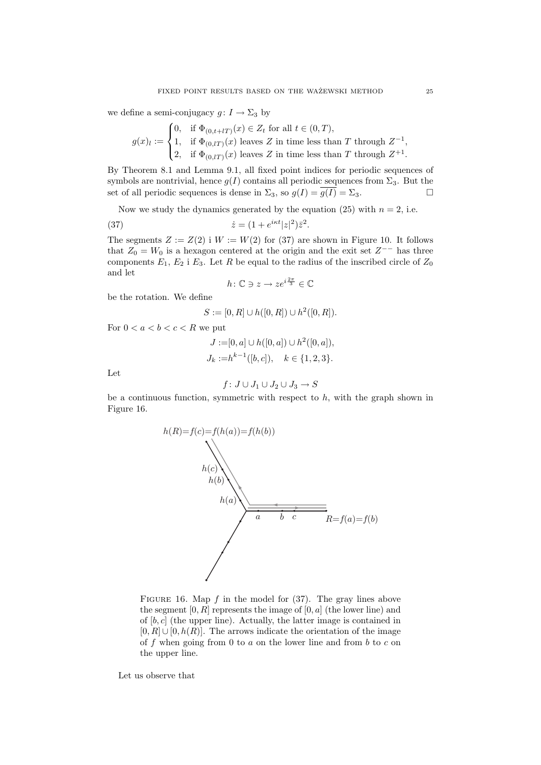we define a semi-conjugacy  $g: I \to \Sigma_3$  by

$$
g(x)_l := \begin{cases} 0, & \text{if } \Phi_{(0,t+lT)}(x) \in Z_t \text{ for all } t \in (0,T), \\ 1, & \text{if } \Phi_{(0,lT)}(x) \text{ leaves } Z \text{ in time less than } T \text{ through } Z^{-1}, \\ 2, & \text{if } \Phi_{(0,lT)}(x) \text{ leaves } Z \text{ in time less than } T \text{ through } Z^{+1}. \end{cases}
$$

By Theorem 8.1 and Lemma 9.1, all fixed point indices for periodic sequences of symbols are nontrivial, hence  $g(I)$  contains all periodic sequences from  $\Sigma_3$ . But the set of all periodic sequences is dense in  $\Sigma_3$ , so  $g(I) = \overline{g(I)} = \Sigma_3$ .

Now we study the dynamics generated by the equation (25) with  $n = 2$ , i.e.

(37) 
$$
\dot{z} = (1 + e^{i\kappa t}|z|^2)\bar{z}^2.
$$

The segments  $Z := Z(2)$  i  $W := W(2)$  for (37) are shown in Figure 10. It follows that  $Z_0 = W_0$  is a hexagon centered at the origin and the exit set  $Z^{--}$  has three components  $E_1, E_2$  i  $E_3$ . Let R be equal to the radius of the inscribed circle of  $Z_0$ and let

$$
h\colon \mathbb{C}\ni z\to ze^{i\frac{2\pi}{3}}\in \mathbb{C}
$$

be the rotation. We define

$$
S := [0, R] \cup h([0, R]) \cup h^2([0, R]).
$$

For  $0 < a < b < c < R$  we put

$$
J := [0, a] \cup h([0, a]) \cup h^{2}([0, a]),
$$
  

$$
J_{k} := h^{k-1}([b, c]), \quad k \in \{1, 2, 3\}.
$$

Let

$$
f\colon J\cup J_1\cup J_2\cup J_3\to S
$$

be a continuous function, symmetric with respect to  $h$ , with the graph shown in Figure 16.



FIGURE 16. Map  $f$  in the model for (37). The gray lines above the segment  $[0, R]$  represents the image of  $[0, a]$  (the lower line) and of  $[b, c]$  (the upper line). Actually, the latter image is contained in  $[0, R]$  ∪  $[0, h(R)]$ . The arrows indicate the orientation of the image of f when going from 0 to  $a$  on the lower line and from  $b$  to  $c$  on the upper line.

Let us observe that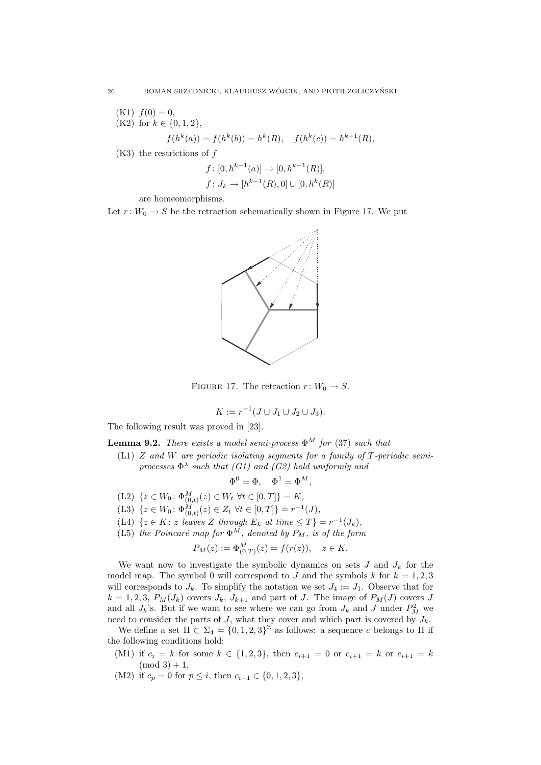- $(K1) f(0) = 0,$ (K2) for  $k \in \{0, 1, 2\}$ ,  $f(h^k(a)) = f(h^k(b)) = h^k(R), \quad f(h^k(c)) = h^{k+1}(R),$
- $(K3)$  the restrictions of f

$$
f: [0, h^{k-1}(a)] \to [0, h^{k-1}(R)],
$$
  

$$
f: J_k \to [h^{k-1}(R), 0] \cup [0, h^k(R)]
$$

are homeomorphisms.

Let  $r: W_0 \to S$  be the retraction schematically shown in Figure 17. We put



FIGURE 17. The retraction  $r: W_0 \to S$ .

$$
K := r^{-1}(J \cup J_1 \cup J_2 \cup J_3).
$$

The following result was proved in [23].

**Lemma 9.2.** There exists a model semi-process  $\Phi^M$  for (37) such that

(L1)  $Z$  and  $W$  are periodic isolating segments for a family of  $T$ -periodic semiprocesses  $\Phi^{\lambda}$  such that (G1) and (G2) hold uniformly and

$$
\Phi^0 = \Phi, \quad \Phi^1 = \Phi^M,
$$

- (L2)  $\{z \in W_0 : \Phi_{(0,t)}^M(z) \in W_t \ \forall t \in [0,T]\} = K,$
- (L3)  $\{z \in W_0: \Phi_{(0,t)}^M(z) \in Z_t \ \forall t \in [0,T]\} = r^{-1}(J),$
- (L4)  $\{z \in K : z \text{ leaves } Z \text{ through } E_k \text{ at time } \leq T\} = r^{-1}(J_k),$
- (L5) the Poincaré map for  $\Phi^M$ , denoted by  $P_M$ , is of the form

$$
P_M(z) := \Phi_{(0,T)}^M(z) = f(r(z)), \quad z \in K.
$$

We want now to investigate the symbolic dynamics on sets  $J$  and  $J_k$  for the model map. The symbol 0 will correspond to J and the symbols k for  $k = 1, 2, 3$ will corresponds to  $J_k$ . To simplify the notation we set  $J_4 := J_1$ . Observe that for  $k = 1, 2, 3, P_M(J_k)$  covers  $J_k$ ,  $J_{k+1}$  and part of J. The image of  $P_M(J)$  covers J and all  $J_k$ 's. But if we want to see where we can go from  $J_k$  and  $J$  under  $P_M^2$  we need to consider the parts of J, what they cover and which part is covered by  $J_k$ .

We define a set  $\Pi \subset \Sigma_4 = \{0, 1, 2, 3\}^{\mathbb{Z}}$  as follows: a sequence c belongs to  $\Pi$  if the following conditions hold:

- (M1) if  $c_i = k$  for some  $k \in \{1, 2, 3\}$ , then  $c_{i+1} = 0$  or  $c_{i+1} = k$  or  $c_{i+1} = k$  $(mod 3) + 1,$
- (M2) if  $c_p = 0$  for  $p \leq i$ , then  $c_{i+1} \in \{0, 1, 2, 3\}$ ,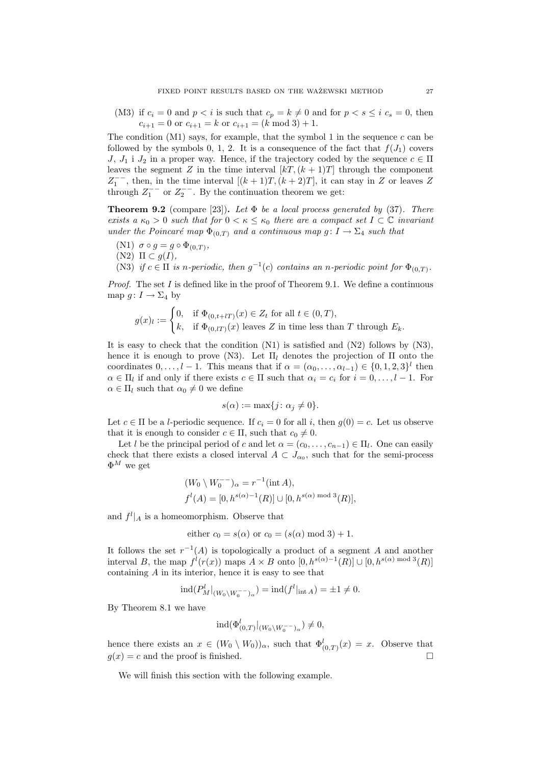(M3) if  $c_i = 0$  and  $p < i$  is such that  $c_p = k \neq 0$  and for  $p < s \leq i$   $c_s = 0$ , then  $c_{i+1} = 0$  or  $c_{i+1} = k$  or  $c_{i+1} = (k \mod 3) + 1$ .

The condition  $(M1)$  says, for example, that the symbol 1 in the sequence c can be followed by the symbols 0, 1, 2. It is a consequence of the fact that  $f(J_1)$  covers J,  $J_1$  i  $J_2$  in a proper way. Hence, if the trajectory coded by the sequence  $c \in \Pi$ leaves the segment Z in the time interval  $[kT,(k+1)T]$  through the component  $Z_1^{--}$ , then, in the time interval  $[(k+1)T, (k+2)T]$ , it can stay in Z or leaves Z through  $Z_1^{--}$  or  $Z_2^{--}$ . By the continuation theorem we get:

**Theorem 9.2** (compare [23]). Let  $\Phi$  be a local process generated by (37). There exists a  $\kappa_0 > 0$  such that for  $0 < \kappa \leq \kappa_0$  there are a compact set  $I \subset \mathbb{C}$  invariant under the Poincaré map  $\Phi_{(0,T)}$  and a continuous map g:  $I \to \Sigma_4$  such that

- (N1)  $\sigma \circ g = g \circ \Phi_{(0,T)}$ ,
- (N2)  $\Pi \subset q(I)$ ,

(N3) if  $c \in \Pi$  is n-periodic, then  $g^{-1}(c)$  contains an n-periodic point for  $\Phi_{(0,T)}$ .

*Proof.* The set I is defined like in the proof of Theorem 9.1. We define a continuous map  $g: I \to \Sigma_4$  by

$$
g(x)_l := \begin{cases} 0, & \text{if } \Phi_{(0,t+lT)}(x) \in Z_t \text{ for all } t \in (0,T), \\ k, & \text{if } \Phi_{(0,lT)}(x) \text{ leaves } Z \text{ in time less than } T \text{ through } E_k. \end{cases}
$$

It is easy to check that the condition (N1) is satisfied and (N2) follows by (N3), hence it is enough to prove (N3). Let  $\Pi_l$  denotes the projection of  $\Pi$  onto the coordinates  $0, \ldots, l-1$ . This means that if  $\alpha = (\alpha_0, \ldots, \alpha_{l-1}) \in \{0, 1, 2, 3\}^l$  then  $\alpha \in \Pi_l$  if and only if there exists  $c \in \Pi$  such that  $\alpha_i = c_i$  for  $i = 0, \ldots, l - 1$ . For  $\alpha \in \Pi_l$  such that  $\alpha_0 \neq 0$  we define

$$
s(\alpha) := \max\{j \colon \alpha_j \neq 0\}.
$$

Let  $c \in \Pi$  be a *l*-periodic sequence. If  $c_i = 0$  for all *i*, then  $g(0) = c$ . Let us observe that it is enough to consider  $c \in \Pi$ , such that  $c_0 \neq 0$ .

Let l be the principal period of c and let  $\alpha = (c_0, \ldots, c_{n-1}) \in \Pi_l$ . One can easily check that there exists a closed interval  $A \subset J_{\alpha_0}$ , such that for the semi-process  $\Phi^M$  we get

$$
(W_0 \setminus W_0^{--})_{\alpha} = r^{-1}(\text{int } A),
$$
  

$$
f^l(A) = [0, h^{s(\alpha)-1}(R)] \cup [0, h^{s(\alpha) \mod 3}(R)],
$$

and  $f^l|_A$  is a homeomorphism. Observe that

either 
$$
c_0 = s(\alpha)
$$
 or  $c_0 = (s(\alpha) \mod 3) + 1$ .

It follows the set  $r^{-1}(A)$  is topologically a product of a segment A and another interval B, the map  $f^l(r(x))$  maps  $A \times B$  onto  $[0, h^{s(\alpha)-1}(R)] \cup [0, h^{s(\alpha)} \mod 3(R)]$ containing A in its interior, hence it is easy to see that

$$
ind(P_M^l|_{(W_0 \setminus W_0^-)}') = ind(f^l|_{int A}) = \pm 1 \neq 0.
$$

By Theorem 8.1 we have

$$
\mathrm{ind}(\Phi^l_{(0,T)}|_{(W_0\setminus W_0^{--})_\alpha})\neq 0,
$$

hence there exists an  $x \in (W_0 \setminus W_0)_{\alpha}$ , such that  $\Phi_{(0,T)}^l(x) = x$ . Observe that  $q(x) = c$  and the proof is finished.

We will finish this section with the following example.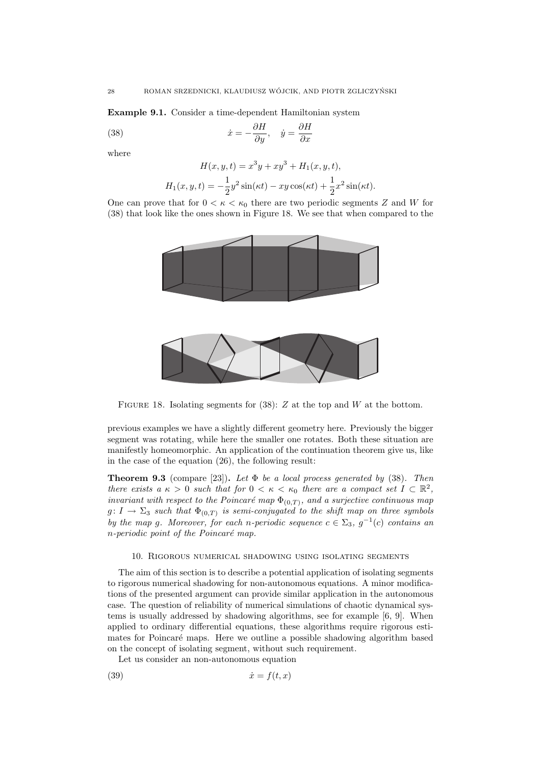Example 9.1. Consider a time-dependent Hamiltonian system

(38) 
$$
\dot{x} = -\frac{\partial H}{\partial y}, \quad \dot{y} = \frac{\partial H}{\partial x}
$$

where

$$
H(x, y, t) = x^{3}y + xy^{3} + H_{1}(x, y, t),
$$
  

$$
H_{1}(x, y, t) = -\frac{1}{2}y^{2}\sin(\kappa t) - xy\cos(\kappa t) + \frac{1}{2}x^{2}\sin(\kappa t).
$$

One can prove that for  $0 < \kappa < \kappa_0$  there are two periodic segments Z and W for (38) that look like the ones shown in Figure 18. We see that when compared to the



FIGURE 18. Isolating segments for  $(38)$ : Z at the top and W at the bottom.

previous examples we have a slightly different geometry here. Previously the bigger segment was rotating, while here the smaller one rotates. Both these situation are manifestly homeomorphic. An application of the continuation theorem give us, like in the case of the equation (26), the following result:

**Theorem 9.3** (compare [23]). Let  $\Phi$  be a local process generated by (38). Then there exists a  $\kappa > 0$  such that for  $0 < \kappa < \kappa_0$  there are a compact set  $I \subset \mathbb{R}^2$ , invariant with respect to the Poincaré map  $\Phi_{(0,T)}$ , and a surjective continuous map  $g \colon I \to \Sigma_3$  such that  $\Phi_{(0,T)}$  is semi-conjugated to the shift map on three symbols by the map g. Moreover, for each n-periodic sequence  $c \in \Sigma_3$ ,  $g^{-1}(c)$  contains an  $n$ -periodic point of the Poincaré map.

## 10. Rigorous numerical shadowing using isolating segments

The aim of this section is to describe a potential application of isolating segments to rigorous numerical shadowing for non-autonomous equations. A minor modifications of the presented argument can provide similar application in the autonomous case. The question of reliability of numerical simulations of chaotic dynamical systems is usually addressed by shadowing algorithms, see for example [6, 9]. When applied to ordinary differential equations, these algorithms require rigorous estimates for Poincaré maps. Here we outline a possible shadowing algorithm based on the concept of isolating segment, without such requirement.

Let us consider an non-autonomous equation

$$
(39) \t\t\t \dot{x} = f(t, x)
$$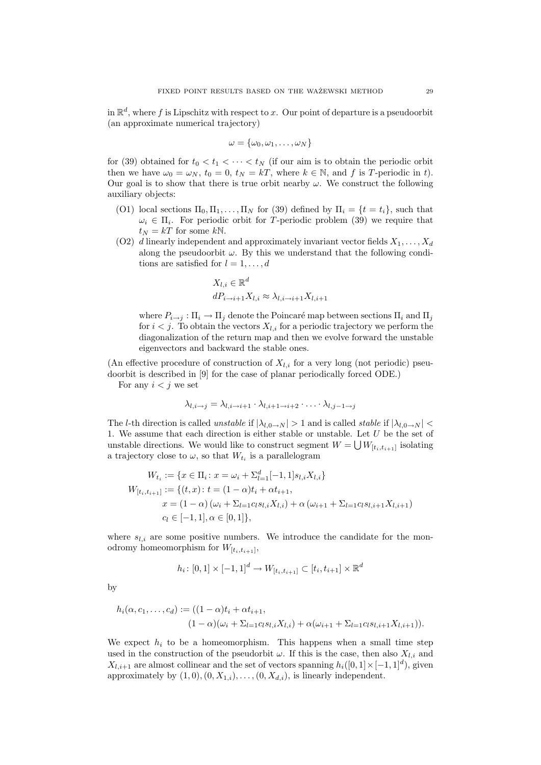in  $\mathbb{R}^d$ , where f is Lipschitz with respect to x. Our point of departure is a pseudoorbit (an approximate numerical trajectory)

$$
\omega = \{\omega_0, \omega_1, \ldots, \omega_N\}
$$

for (39) obtained for  $t_0 < t_1 < \cdots < t_N$  (if our aim is to obtain the periodic orbit then we have  $\omega_0 = \omega_N$ ,  $t_0 = 0$ ,  $t_N = kT$ , where  $k \in \mathbb{N}$ , and f is T-periodic in t). Our goal is to show that there is true orbit nearby  $\omega$ . We construct the following auxiliary objects:

- (O1) local sections  $\Pi_0, \Pi_1, \ldots, \Pi_N$  for (39) defined by  $\Pi_i = \{t = t_i\}$ , such that  $\omega_i \in \Pi_i$ . For periodic orbit for T-periodic problem (39) we require that  $t_N = kT$  for some  $kN$ .
- (O2) d linearly independent and approximately invariant vector fields  $X_1, \ldots, X_d$ along the pseudoorbit  $\omega$ . By this we understand that the following conditions are satisfied for  $l = 1, \ldots, d$

$$
X_{l,i} \in \mathbb{R}^d
$$
  

$$
dP_{i \to i+1} X_{l,i} \approx \lambda_{l,i \to i+1} X_{l,i+1}
$$

where  $P_{i\to i}: \Pi_i \to \Pi_j$  denote the Poincaré map between sections  $\Pi_i$  and  $\Pi_j$ for  $i < j$ . To obtain the vectors  $X_{l,i}$  for a periodic trajectory we perform the diagonalization of the return map and then we evolve forward the unstable eigenvectors and backward the stable ones.

(An effective procedure of construction of  $X_{l,i}$  for a very long (not periodic) pseudoorbit is described in [9] for the case of planar periodically forced ODE.) For any  $i < j$  we set

$$
\lambda_{l,i\rightarrow i} = \lambda_{l,i\rightarrow i+1} \cdot \lambda_{l,i+1\rightarrow i+2} \cdot \ldots \cdot \lambda_{l,i-1\rightarrow i}
$$

The l-th direction is called unstable if  $|\lambda_{l,0\rightarrow N}| > 1$  and is called stable if  $|\lambda_{l,0\rightarrow N}| <$ 1. We assume that each direction is either stable or unstable. Let  $U$  be the set of unstable directions. We would like to construct segment  $W = \bigcup W_{[t_i, t_{i+1}]}$  isolating a trajectory close to  $\omega$ , so that  $W_{t_i}$  is a parallelogram

$$
W_{t_i} := \{ x \in \Pi_i : x = \omega_i + \Sigma_{l=1}^d [-1, 1] s_{l,i} X_{l,i} \}
$$
  
\n
$$
W_{[t_i, t_{i+1}]} := \{ (t, x) : t = (1 - \alpha) t_i + \alpha t_{i+1},
$$
  
\n
$$
x = (1 - \alpha) (\omega_i + \Sigma_{l=1} c_l s_{l,i} X_{l,i}) + \alpha (\omega_{i+1} + \Sigma_{l=1} c_l s_{l,i+1} X_{l,i+1})
$$
  
\n
$$
c_l \in [-1, 1], \alpha \in [0, 1] \},
$$

where  $s_{l,i}$  are some positive numbers. We introduce the candidate for the monodromy homeomorphism for  $W_{[t_i,t_{i+1}]}$ ,

$$
h_i \colon [0,1] \times [-1,1]^d \to W_{[t_i,t_{i+1}]} \subset [t_i,t_{i+1}] \times \mathbb{R}^d
$$

by

$$
h_i(\alpha, c_1, \dots, c_d) := ((1 - \alpha)t_i + \alpha t_{i+1}, (1 - \alpha)(\omega_i + \Sigma_{l=1} c_l s_{l,i} X_{l,i}) + \alpha(\omega_{i+1} + \Sigma_{l=1} c_l s_{l,i+1} X_{l,i+1})).
$$

We expect  $h_i$  to be a homeomorphism. This happens when a small time step used in the construction of the pseudorbit  $\omega$ . If this is the case, then also  $X_{l,i}$  and  $X_{l,i+1}$  are almost collinear and the set of vectors spanning  $h_i([0,1] \times [-1,1]^d)$ , given approximately by  $(1, 0), (0, X_{1,i}), \ldots, (0, X_{d,i})$ , is linearly independent.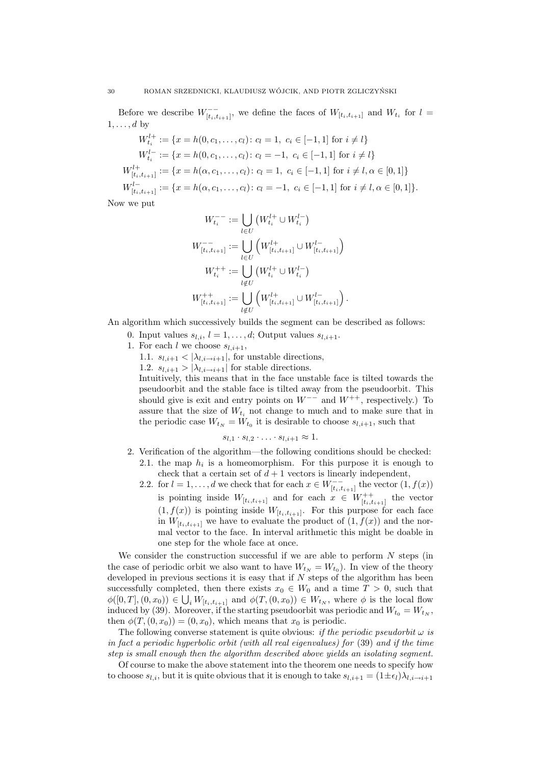Before we describe  $W_{[t_i,t_{i+1}]}^{-}$ , we define the faces of  $W_{[t_i,t_{i+1}]}$  and  $W_{t_i}$  for  $l =$  $1, \ldots, d$  by

$$
W_{t_i}^{l+} := \{x = h(0, c_1, \dots, c_l) : c_l = 1, \ c_i \in [-1, 1] \text{ for } i \neq l\}
$$
  
\n
$$
W_{t_i}^{l-} := \{x = h(0, c_1, \dots, c_l) : c_l = -1, \ c_i \in [-1, 1] \text{ for } i \neq l\}
$$
  
\n
$$
W_{[t_i, t_{i+1}]}^{l+} := \{x = h(\alpha, c_1, \dots, c_l) : c_l = 1, \ c_i \in [-1, 1] \text{ for } i \neq l, \alpha \in [0, 1]\}
$$
  
\n
$$
W_{[t_i, t_{i+1}]}^{l-} := \{x = h(\alpha, c_1, \dots, c_l) : c_l = -1, \ c_i \in [-1, 1] \text{ for } i \neq l, \alpha \in [0, 1]\}.
$$

Now we put

$$
W_{t_i}^{--} := \bigcup_{l \in U} \left( W_{t_i}^{l+} \cup W_{t_i}^{l-} \right)
$$
  

$$
W_{[t_i, t_{i+1}]}^{-} := \bigcup_{l \in U} \left( W_{[t_i, t_{i+1}]}^{l+} \cup W_{[t_i, t_{i+1}]}^{l-} \right)
$$
  

$$
W_{t_i}^{++} := \bigcup_{l \notin U} \left( W_{t_i}^{l+} \cup W_{t_i}^{l-} \right)
$$
  

$$
W_{[t_i, t_{i+1}]}^{++} := \bigcup_{l \notin U} \left( W_{[t_i, t_{i+1}]}^{l+} \cup W_{[t_i, t_{i+1}]}^{l-} \right).
$$

An algorithm which successively builds the segment can be described as follows:

- 0. Input values  $s_{l,i}$ ,  $l = 1, \ldots, d$ ; Output values  $s_{l,i+1}$ .
- 1. For each l we choose  $s_{l,i+1}$ ,
	- 1.1.  $s_{l,i+1} < |\lambda_{l,i \to i+1}|$ , for unstable directions,
	- 1.2.  $s_{l,i+1} > |\lambda_{l,i\rightarrow i+1}|$  for stable directions.

one step for the whole face at once.

Intuitively, this means that in the face unstable face is tilted towards the pseudoorbit and the stable face is tilted away from the pseudoorbit. This should give is exit and entry points on  $W^{--}$  and  $W^{++}$ , respectively.) To assure that the size of  $W_{t_i}$  not change to much and to make sure that in the periodic case  $W_{t_N} = W_{t_0}$  it is desirable to choose  $s_{l,i+1}$ , such that

$$
s_{l,1} \cdot s_{l,2} \cdot \ldots \cdot s_{l,i+1} \approx 1.
$$

- 2. Verification of the algorithm—the following conditions should be checked: 2.1. the map  $h_i$  is a homeomorphism. For this purpose it is enough to
	- check that a certain set of  $d+1$  vectors is linearly independent, 2.2. for  $l = 1, ..., d$  we check that for each  $x \in W_{[t_i, t_{i+1}]}^{-}$  the vector  $(1, f(x))$ is pointing inside  $W_{[t_i,t_{i+1}]}$  and for each  $x \in W_{[t_i,t_{i+1}]}^{++}$  the vector  $(1, f(x))$  is pointing inside  $W_{[t_i, t_{i+1}]}$ . For this purpose for each face in  $W_{[t_i,t_{i+1}]}$  we have to evaluate the product of  $(1, f(x))$  and the normal vector to the face. In interval arithmetic this might be doable in

We consider the construction successful if we are able to perform  $N$  steps (in the case of periodic orbit we also want to have  $W_{t_N} = W_{t_0}$ . In view of the theory developed in previous sections it is easy that if  $N$  steps of the algorithm has been successfully completed, then there exists  $x_0 \in W_0$  and a time  $T > 0$ , such that  $\phi([0,T],(0,x_0)) \in \bigcup_i W_{[t_i,t_{i+1}]}$  and  $\phi(T,(0,x_0)) \in W_{t_N}$ , where  $\phi$  is the local flow induced by (39). Moreover, if the starting pseudoorbit was periodic and  $W_{t_0} = W_{t_N}$ . then  $\phi(T,(0,x_0)) = (0,x_0)$ , which means that  $x_0$  is periodic.

The following converse statement is quite obvious: if the periodic pseudorbit  $\omega$  is in fact a periodic hyperbolic orbit (with all real eigenvalues) for (39) and if the time step is small enough then the algorithm described above yields an isolating segment.

Of course to make the above statement into the theorem one needs to specify how to choose  $s_{l,i}$ , but it is quite obvious that it is enough to take  $s_{l,i+1} = (1 \pm \epsilon_l) \lambda_{l,i \to i+1}$